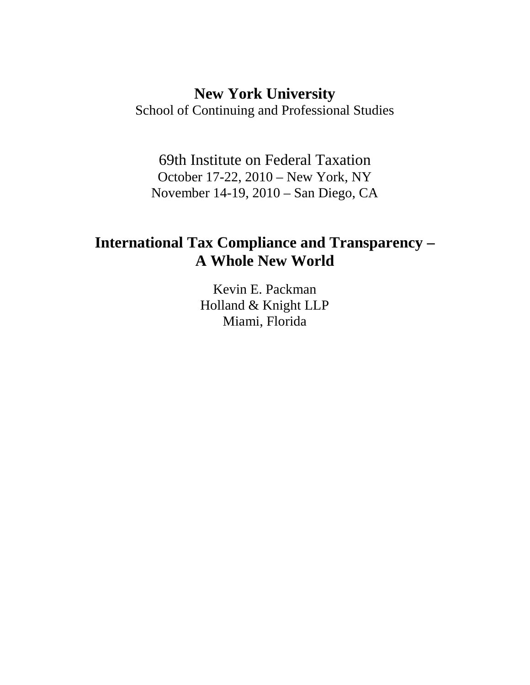## **New York University**

School of Continuing and Professional Studies

69th Institute on Federal Taxation October 17-22, 2010 – New York, NY November 14-19, 2010 – San Diego, CA

# **International Tax Compliance and Transparency – A Whole New World**

Kevin E. Packman Holland & Knight LLP Miami, Florida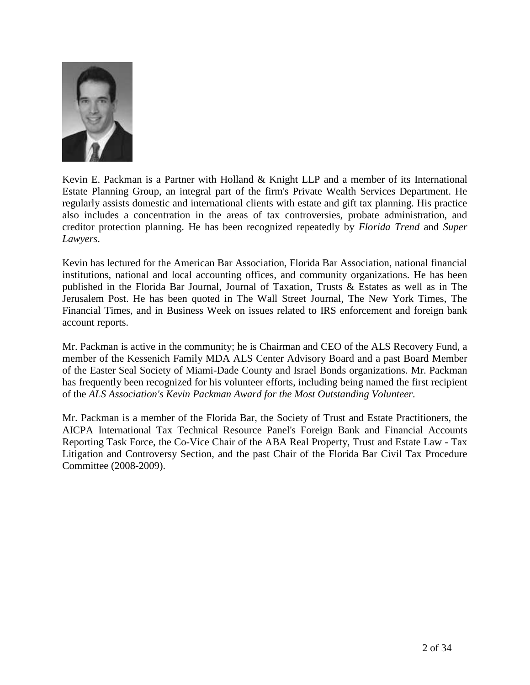

Kevin E. Packman is a Partner with Holland & Knight LLP and a member of its International Estate Planning Group, an integral part of the firm's Private Wealth Services Department. He regularly assists domestic and international clients with estate and gift tax planning. His practice also includes a concentration in the areas of tax controversies, probate administration, and creditor protection planning. He has been recognized repeatedly by *Florida Trend* and *Super Lawyers*.

Kevin has lectured for the American Bar Association, Florida Bar Association, national financial institutions, national and local accounting offices, and community organizations. He has been published in the Florida Bar Journal, Journal of Taxation, Trusts & Estates as well as in The Jerusalem Post. He has been quoted in The Wall Street Journal, The New York Times, The Financial Times, and in Business Week on issues related to IRS enforcement and foreign bank account reports.

Mr. Packman is active in the community; he is Chairman and CEO of the ALS Recovery Fund, a member of the Kessenich Family MDA ALS Center Advisory Board and a past Board Member of the Easter Seal Society of Miami-Dade County and Israel Bonds organizations. Mr. Packman has frequently been recognized for his volunteer efforts, including being named the first recipient of the *ALS Association's Kevin Packman Award for the Most Outstanding Volunteer*.

Mr. Packman is a member of the Florida Bar, the Society of Trust and Estate Practitioners, the AICPA International Tax Technical Resource Panel's Foreign Bank and Financial Accounts Reporting Task Force, the Co-Vice Chair of the ABA Real Property, Trust and Estate Law - Tax Litigation and Controversy Section, and the past Chair of the Florida Bar Civil Tax Procedure Committee (2008-2009).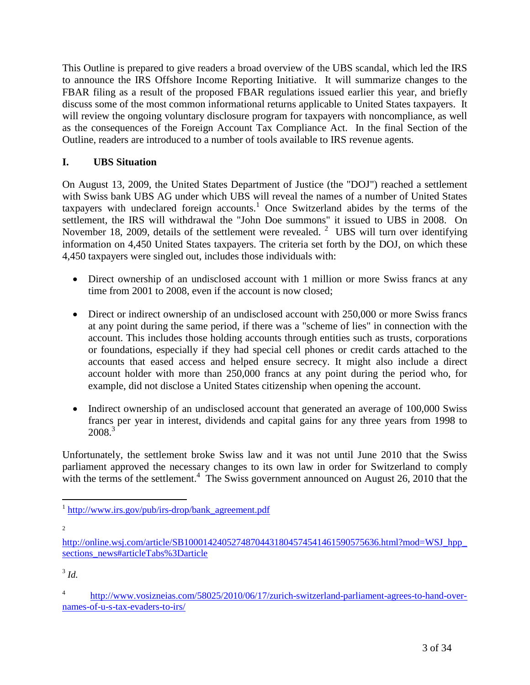This Outline is prepared to give readers a broad overview of the UBS scandal, which led the IRS to announce the IRS Offshore Income Reporting Initiative. It will summarize changes to the FBAR filing as a result of the proposed FBAR regulations issued earlier this year, and briefly discuss some of the most common informational returns applicable to United States taxpayers. It will review the ongoing voluntary disclosure program for taxpayers with noncompliance, as well as the consequences of the Foreign Account Tax Compliance Act. In the final Section of the Outline, readers are introduced to a number of tools available to IRS revenue agents.

## **I. UBS Situation**

On August 13, 2009, the United States Department of Justice (the "DOJ") reached a settlement with Swiss bank UBS AG under which UBS will reveal the names of a number of United States taxpayers with undeclared foreign accounts.<sup>[1](#page-2-0)</sup> Once Switzerland abides by the terms of the settlement, the IRS will withdrawal the "John Doe summons" it issued to UBS in 2008. On November 18, [2](#page-2-1)009, details of the settlement were revealed.  $2$  UBS will turn over identifying information on 4,450 United States taxpayers. The criteria set forth by the DOJ, on which these 4,450 taxpayers were singled out, includes those individuals with:

- Direct ownership of an undisclosed account with 1 million or more Swiss francs at any time from 2001 to 2008, even if the account is now closed;
- Direct or indirect ownership of an undisclosed account with 250,000 or more Swiss francs at any point during the same period, if there was a "scheme of lies" in connection with the account. This includes those holding accounts through entities such as trusts, corporations or foundations, especially if they had special cell phones or credit cards attached to the accounts that eased access and helped ensure secrecy. It might also include a direct account holder with more than 250,000 francs at any point during the period who, for example, did not disclose a United States citizenship when opening the account.
- Indirect ownership of an undisclosed account that generated an average of 100,000 Swiss francs per year in interest, dividends and capital gains for any three years from 1998 to 2008<sup>[3](#page-2-2)</sup>

Unfortunately, the settlement broke Swiss law and it was not until June 2010 that the Swiss parliament approved the necessary changes to its own law in order for Switzerland to comply with the terms of the settlement.<sup>[4](#page-2-3)</sup> The Swiss government announced on August 26, 2010 that the

<span id="page-2-0"></span><sup>&</sup>lt;sup>1</sup> http://www.irs.gov/pub/irs-drop/bank\_agreement.pdf

<sup>2</sup>

<span id="page-2-1"></span>http://online.wsj.com/article/SB10001424052748704431804574541461590575636.html?mod=WSJ\_hpp\_ sections\_news#articleTabs%3Darticle

<span id="page-2-2"></span><sup>3</sup> *Id.*

<span id="page-2-3"></span><sup>4</sup> http://www.vosizneias.com/58025/2010/06/17/zurich-switzerland-parliament-agrees-to-hand-overnames-of-u-s-tax-evaders-to-irs/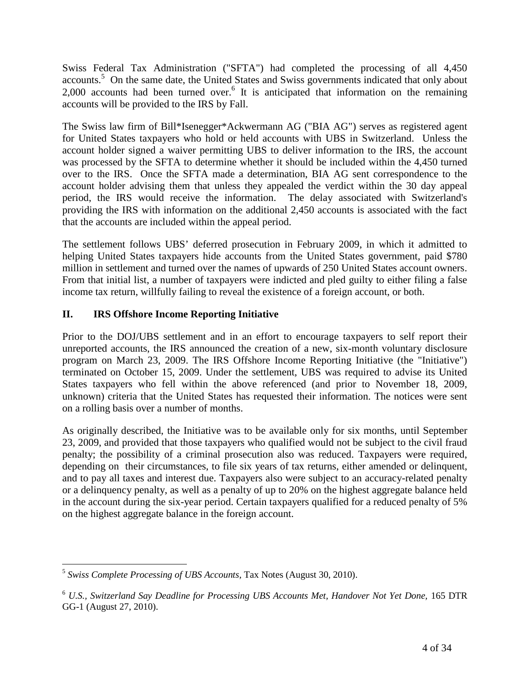Swiss Federal Tax Administration ("SFTA") had completed the processing of all 4,450 accounts.<sup>[5](#page-3-0)</sup> On the same date, the United States and Swiss governments indicated that only about 2,000accounts had been turned over.<sup>6</sup> It is anticipated that information on the remaining accounts will be provided to the IRS by Fall.

The Swiss law firm of Bill\*Isenegger\*Ackwermann AG ("BIA AG") serves as registered agent for United States taxpayers who hold or held accounts with UBS in Switzerland. Unless the account holder signed a waiver permitting UBS to deliver information to the IRS, the account was processed by the SFTA to determine whether it should be included within the 4,450 turned over to the IRS. Once the SFTA made a determination, BIA AG sent correspondence to the account holder advising them that unless they appealed the verdict within the 30 day appeal period, the IRS would receive the information. The delay associated with Switzerland's providing the IRS with information on the additional 2,450 accounts is associated with the fact that the accounts are included within the appeal period.

The settlement follows UBS' deferred prosecution in February 2009, in which it admitted to helping United States taxpayers hide accounts from the United States government, paid \$780 million in settlement and turned over the names of upwards of 250 United States account owners. From that initial list, a number of taxpayers were indicted and pled guilty to either filing a false income tax return, willfully failing to reveal the existence of a foreign account, or both.

## **II. IRS Offshore Income Reporting Initiative**

Prior to the DOJ/UBS settlement and in an effort to encourage taxpayers to self report their unreported accounts, the IRS announced the creation of a new, six-month voluntary disclosure program on March 23, 2009. The IRS Offshore Income Reporting Initiative (the "Initiative") terminated on October 15, 2009. Under the settlement, UBS was required to advise its United States taxpayers who fell within the above referenced (and prior to November 18, 2009, unknown) criteria that the United States has requested their information. The notices were sent on a rolling basis over a number of months.

As originally described, the Initiative was to be available only for six months, until September 23, 2009, and provided that those taxpayers who qualified would not be subject to the civil fraud penalty; the possibility of a criminal prosecution also was reduced. Taxpayers were required, depending on their circumstances, to file six years of tax returns, either amended or delinquent, and to pay all taxes and interest due. Taxpayers also were subject to an accuracy-related penalty or a delinquency penalty, as well as a penalty of up to 20% on the highest aggregate balance held in the account during the six-year period. Certain taxpayers qualified for a reduced penalty of 5% on the highest aggregate balance in the foreign account.

<span id="page-3-0"></span><sup>5</sup> *Swiss Complete Processing of UBS Accounts,* Tax Notes (August 30, 2010).

<span id="page-3-1"></span><sup>6</sup> *U.S., Switzerland Say Deadline for Processing UBS Accounts Met, Handover Not Yet Done,* 165 DTR GG-1 (August 27, 2010).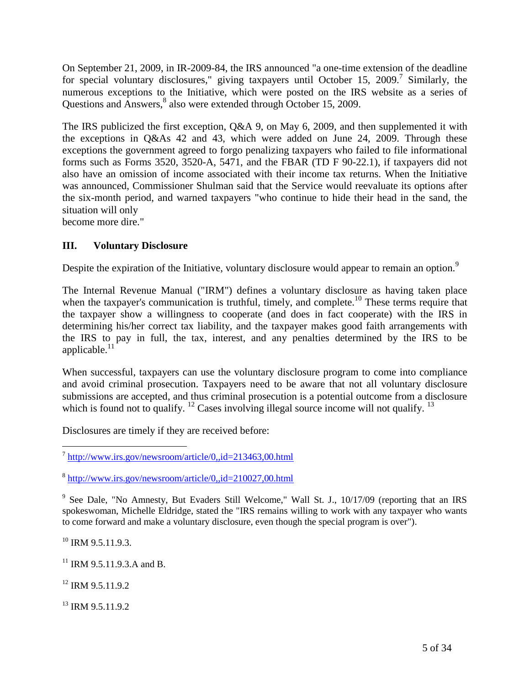On September 21, 2009, in IR-2009-84, the IRS announced "a one-time extension of the deadline forspecial voluntary disclosures," giving taxpayers until October 15, 2009[.](#page-4-0)<sup>7</sup> Similarly, the numerous exceptions to the Initiative, which were posted on the IRS website as a series of Questions and Answers,<sup>[8](#page-4-1)</sup> also were extended through October 15, 2009.

The IRS publicized the first exception, Q&A 9, on May 6, 2009, and then supplemented it with the exceptions in Q&As 42 and 43, which were added on June 24, 2009. Through these exceptions the government agreed to forgo penalizing taxpayers who failed to file informational forms such as Forms 3520, 3520-A, 5471, and the FBAR (TD F 90-22.1), if taxpayers did not also have an omission of income associated with their income tax returns. When the Initiative was announced, Commissioner Shulman said that the Service would reevaluate its options after the six-month period, and warned taxpayers "who continue to hide their head in the sand, the situation will only

become more dire."

## **III. Voluntary Disclosure**

Despite the expiration of the Initiative, voluntary disclosure would appear to remain an option.<sup>[9](#page-4-2)</sup>

The Internal Revenue Manual ("IRM") defines a voluntary disclosure as having taken place when the taxpayer's communication is truthful, timely, and complete.<sup>[10](#page-4-3)</sup> These terms require that the taxpayer show a willingness to cooperate (and does in fact cooperate) with the IRS in determining his/her correct tax liability, and the taxpayer makes good faith arrangements with the IRS to pay in full, the tax, interest, and any penalties determined by the IRS to be applicable. $^{11}$  $^{11}$  $^{11}$ 

When successful, taxpayers can use the voluntary disclosure program to come into compliance and avoid criminal prosecution. Taxpayers need to be aware that not all voluntary disclosure submissions are accepted, and thus criminal prosecution is a potential outcome from a disclosure which is found not to qualify.  $\frac{12}{2}$  $\frac{12}{2}$  $\frac{12}{2}$  Cases involving illegal source income will not qualify.  $\frac{13}{2}$  $\frac{13}{2}$  $\frac{13}{2}$ 

Disclosures are timely if they are received before:

<span id="page-4-3"></span> $^{10}$  IRM 9.5.11.9.3.

<span id="page-4-4"></span> $11$  IRM 9.5.11.9.3.A and B.

<span id="page-4-5"></span><sup>12</sup> IRM 9.5.11.9.2

<span id="page-4-6"></span> $13$  IRM 9.5.11.9.2.

<span id="page-4-0"></span><sup>&</sup>lt;sup>7</sup> http://www.irs.gov/newsroom/article/0,,id=213463,00.html

<span id="page-4-1"></span><sup>&</sup>lt;sup>8</sup> http://www.irs.gov/newsroom/article/0,,id=210027,00.html

<span id="page-4-2"></span><sup>&</sup>lt;sup>9</sup> See Dale, "No Amnesty, But Evaders Still Welcome," Wall St. J., 10/17/09 (reporting that an IRS spokeswoman, Michelle Eldridge, stated the "IRS remains willing to work with any taxpayer who wants to come forward and make a voluntary disclosure, even though the special program is over").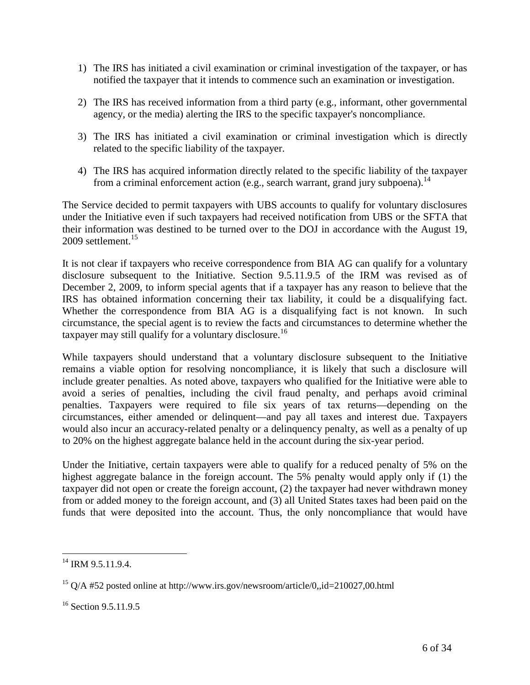- 1) The IRS has initiated a civil examination or criminal investigation of the taxpayer, or has notified the taxpayer that it intends to commence such an examination or investigation.
- 2) The IRS has received information from a third party (e.g., informant, other governmental agency, or the media) alerting the IRS to the specific taxpayer's noncompliance.
- 3) The IRS has initiated a civil examination or criminal investigation which is directly related to the specific liability of the taxpayer.
- 4) The IRS has acquired information directly related to the specific liability of the taxpayer from a criminal enforcement action (e.g., search warrant, grand jury subpoena).<sup>[14](#page-5-0)</sup>

The Service decided to permit taxpayers with UBS accounts to qualify for voluntary disclosures under the Initiative even if such taxpayers had received notification from UBS or the SFTA that their information was destined to be turned over to the DOJ in accordance with the August 19, 2009 settlement $15$ 

It is not clear if taxpayers who receive correspondence from BIA AG can qualify for a voluntary disclosure subsequent to the Initiative. Section 9.5.11.9.5 of the IRM was revised as of December 2, 2009, to inform special agents that if a taxpayer has any reason to believe that the IRS has obtained information concerning their tax liability, it could be a disqualifying fact. Whether the correspondence from BIA AG is a disqualifying fact is not known. In such circumstance, the special agent is to review the facts and circumstances to determine whether the taxpayer may still qualify for a voluntary disclosure.<sup>[16](#page-5-2)</sup>

While taxpayers should understand that a voluntary disclosure subsequent to the Initiative remains a viable option for resolving noncompliance, it is likely that such a disclosure will include greater penalties. As noted above, taxpayers who qualified for the Initiative were able to avoid a series of penalties, including the civil fraud penalty, and perhaps avoid criminal penalties. Taxpayers were required to file six years of tax returns—depending on the circumstances, either amended or delinquent—and pay all taxes and interest due. Taxpayers would also incur an accuracy-related penalty or a delinquency penalty, as well as a penalty of up to 20% on the highest aggregate balance held in the account during the six-year period.

Under the Initiative, certain taxpayers were able to qualify for a reduced penalty of 5% on the highest aggregate balance in the foreign account. The 5% penalty would apply only if (1) the taxpayer did not open or create the foreign account, (2) the taxpayer had never withdrawn money from or added money to the foreign account, and (3) all United States taxes had been paid on the funds that were deposited into the account. Thus, the only noncompliance that would have

<span id="page-5-0"></span><sup>&</sup>lt;sup>14</sup> IRM 9.5.11.9.4.

<span id="page-5-1"></span><sup>&</sup>lt;sup>15</sup> Q/A #52 posted online at http://www.irs.gov/newsroom/article/0,,id=210027,00.html

<span id="page-5-2"></span><sup>&</sup>lt;sup>16</sup> Section 9.5.11.9.5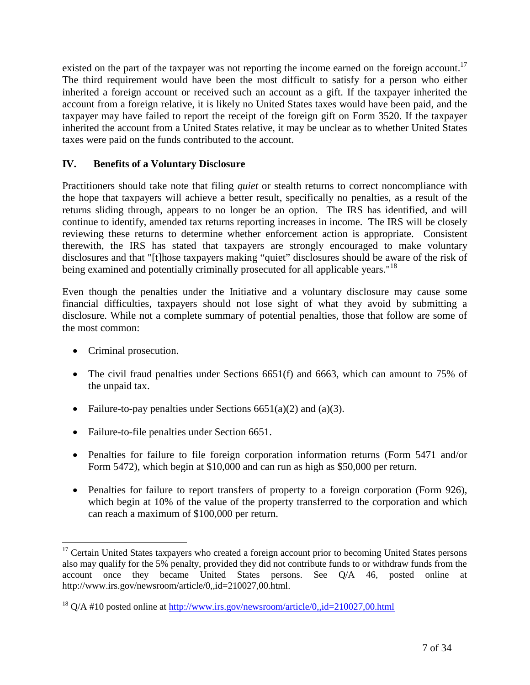existed on the part of the taxpayer was not reporting the income earned on the foreign account.<sup>[17](#page-6-0)</sup> The third requirement would have been the most difficult to satisfy for a person who either inherited a foreign account or received such an account as a gift. If the taxpayer inherited the account from a foreign relative, it is likely no United States taxes would have been paid, and the taxpayer may have failed to report the receipt of the foreign gift on Form 3520. If the taxpayer inherited the account from a United States relative, it may be unclear as to whether United States taxes were paid on the funds contributed to the account.

#### **IV. Benefits of a Voluntary Disclosure**

Practitioners should take note that filing *quiet* or stealth returns to correct noncompliance with the hope that taxpayers will achieve a better result, specifically no penalties, as a result of the returns sliding through, appears to no longer be an option. The IRS has identified, and will continue to identify, amended tax returns reporting increases in income. The IRS will be closely reviewing these returns to determine whether enforcement action is appropriate. Consistent therewith, the IRS has stated that taxpayers are strongly encouraged to make voluntary disclosures and that "[t]hose taxpayers making "quiet" disclosures should be aware of the risk of being examined and potentially criminally prosecuted for all applicable years."<sup>[18](#page-6-1)</sup>

Even though the penalties under the Initiative and a voluntary disclosure may cause some financial difficulties, taxpayers should not lose sight of what they avoid by submitting a disclosure. While not a complete summary of potential penalties, those that follow are some of the most common:

- Criminal prosecution.
- The civil fraud penalties under Sections 6651(f) and 6663, which can amount to 75% of the unpaid tax.
- Failure-to-pay penalties under Sections  $6651(a)(2)$  and  $(a)(3)$ .
- Failure-to-file penalties under Section 6651.
- Penalties for failure to file foreign corporation information returns (Form 5471 and/or Form 5472), which begin at \$10,000 and can run as high as \$50,000 per return.
- Penalties for failure to report transfers of property to a foreign corporation (Form 926), which begin at 10% of the value of the property transferred to the corporation and which can reach a maximum of \$100,000 per return.

<span id="page-6-0"></span><sup>&</sup>lt;sup>17</sup> Certain United States taxpayers who created a foreign account prior to becoming United States persons also may qualify for the 5% penalty, provided they did not contribute funds to or withdraw funds from the account once they became United States persons. See Q/A 46, posted online at http://www.irs.gov/newsroom/article/0,,id=210027,00.html.

<span id="page-6-1"></span> $18$  O/A #10 posted online at http://www.irs.gov/newsroom/article/0,,id=210027,00.html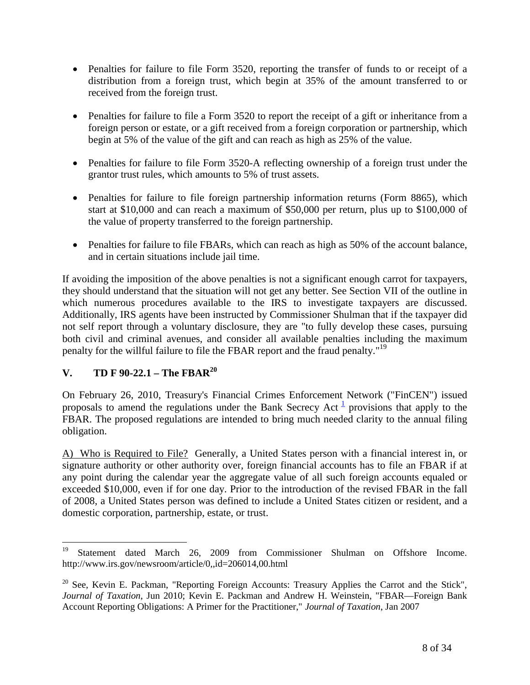- Penalties for failure to file Form 3520, reporting the transfer of funds to or receipt of a distribution from a foreign trust, which begin at 35% of the amount transferred to or received from the foreign trust.
- Penalties for failure to file a Form 3520 to report the receipt of a gift or inheritance from a foreign person or estate, or a gift received from a foreign corporation or partnership, which begin at 5% of the value of the gift and can reach as high as 25% of the value.
- Penalties for failure to file Form 3520-A reflecting ownership of a foreign trust under the grantor trust rules, which amounts to 5% of trust assets.
- Penalties for failure to file foreign partnership information returns (Form 8865), which start at \$10,000 and can reach a maximum of \$50,000 per return, plus up to \$100,000 of the value of property transferred to the foreign partnership.
- Penalties for failure to file FBARs, which can reach as high as 50% of the account balance, and in certain situations include jail time.

If avoiding the imposition of the above penalties is not a significant enough carrot for taxpayers, they should understand that the situation will not get any better. See Section VII of the outline in which numerous procedures available to the IRS to investigate taxpayers are discussed. Additionally, IRS agents have been instructed by Commissioner Shulman that if the taxpayer did not self report through a voluntary disclosure, they are "to fully develop these cases, pursuing both civil and criminal avenues, and consider all available penalties including the maximum penalty for the willful failure to file the FBAR report and the fraud penalty."<sup>[19](#page-7-0)</sup>

## **V. TD F 90-22.1 – The FBAR[20](#page-7-1)**

On February 26, 2010, Treasury's Financial Crimes Enforcement Network ("FinCEN") issued proposals to amend the regulations under the Bank Secrecy Act  $\frac{1}{2}$  provisions that apply to the FBAR. The proposed regulations are intended to bring much needed clarity to the annual filing obligation.

A) Who is Required to File? Generally, a United States person with a financial interest in, or signature authority or other authority over, foreign financial accounts has to file an FBAR if at any point during the calendar year the aggregate value of all such foreign accounts equaled or exceeded \$10,000, even if for one day. Prior to the introduction of the revised FBAR in the fall of 2008, a United States person was defined to include a United States citizen or resident, and a domestic corporation, partnership, estate, or trust.

<span id="page-7-0"></span><sup>&</sup>lt;sup>19</sup> Statement dated March 26, 2009 from Commissioner Shulman on Offshore Income. http://www.irs.gov/newsroom/article/0,,id=206014,00.html

<span id="page-7-1"></span><sup>&</sup>lt;sup>20</sup> See, Kevin E. Packman, "Reporting Foreign Accounts: Treasury Applies the Carrot and the Stick", *Journal of Taxation*, Jun 2010; Kevin E. Packman and Andrew H. Weinstein, "FBAR—Foreign Bank Account Reporting Obligations: A Primer for the Practitioner," *Journal of Taxation*, Jan 2007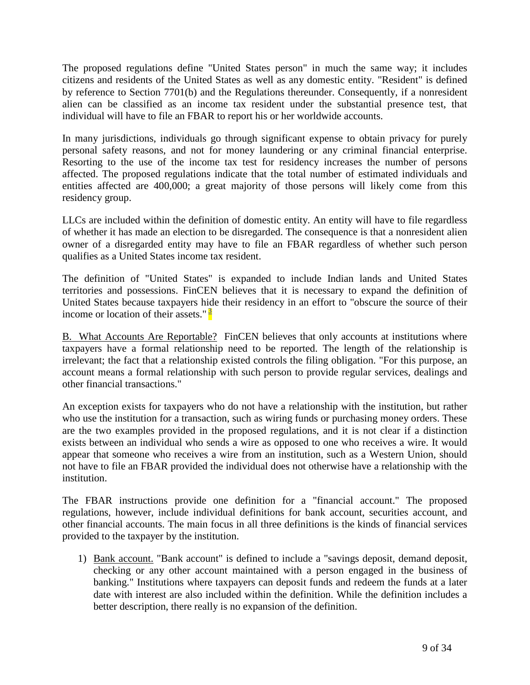The proposed regulations define "United States person" in much the same way; it includes citizens and residents of the United States as well as any domestic entity. "Resident" is defined by reference to Section 7701(b) and the Regulations thereunder. Consequently, if a nonresident alien can be classified as an income tax resident under the substantial presence test, that individual will have to file an FBAR to report his or her worldwide accounts.

In many jurisdictions, individuals go through significant expense to obtain privacy for purely personal safety reasons, and not for money laundering or any criminal financial enterprise. Resorting to the use of the income tax test for residency increases the number of persons affected. The proposed regulations indicate that the total number of estimated individuals and entities affected are 400,000; a great majority of those persons will likely come from this residency group.

LLCs are included within the definition of domestic entity. An entity will have to file regardless of whether it has made an election to be disregarded. The consequence is that a nonresident alien owner of a disregarded entity may have to file an FBAR regardless of whether such person qualifies as a United States income tax resident.

The definition of "United States" is expanded to include Indian lands and United States territories and possessions. FinCEN believes that it is necessary to expand the definition of United States because taxpayers hide their residency in an effort to "obscure the source of their income or location of their assets." $\frac{3}{2}$ 

B. What Accounts Are Reportable? FinCEN believes that only accounts at institutions where taxpayers have a formal relationship need to be reported. The length of the relationship is irrelevant; the fact that a relationship existed controls the filing obligation. "For this purpose, an account means a formal relationship with such person to provide regular services, dealings and other financial transactions."

An exception exists for taxpayers who do not have a relationship with the institution, but rather who use the institution for a transaction, such as wiring funds or purchasing money orders. These are the two examples provided in the proposed regulations, and it is not clear if a distinction exists between an individual who sends a wire as opposed to one who receives a wire. It would appear that someone who receives a wire from an institution, such as a Western Union, should not have to file an FBAR provided the individual does not otherwise have a relationship with the institution.

The FBAR instructions provide one definition for a "financial account." The proposed regulations, however, include individual definitions for bank account, securities account, and other financial accounts. The main focus in all three definitions is the kinds of financial services provided to the taxpayer by the institution.

1) Bank account. "Bank account" is defined to include a "savings deposit, demand deposit, checking or any other account maintained with a person engaged in the business of banking." Institutions where taxpayers can deposit funds and redeem the funds at a later date with interest are also included within the definition. While the definition includes a better description, there really is no expansion of the definition.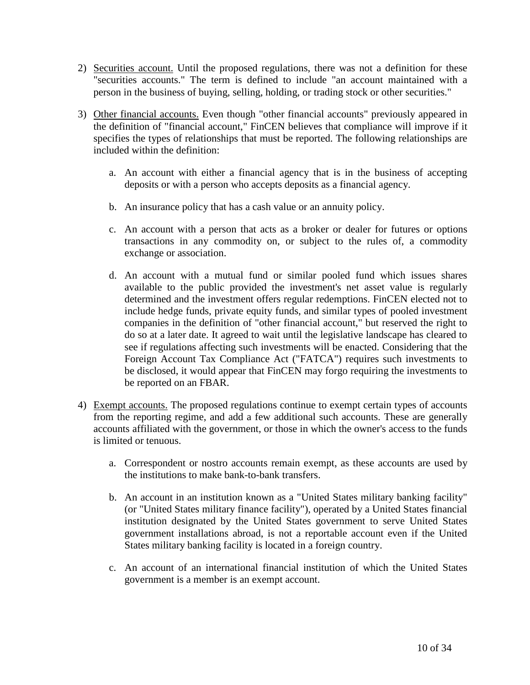- 2) Securities account. Until the proposed regulations, there was not a definition for these "securities accounts." The term is defined to include "an account maintained with a person in the business of buying, selling, holding, or trading stock or other securities."
- 3) Other financial accounts. Even though "other financial accounts" previously appeared in the definition of "financial account," FinCEN believes that compliance will improve if it specifies the types of relationships that must be reported. The following relationships are included within the definition:
	- a. An account with either a financial agency that is in the business of accepting deposits or with a person who accepts deposits as a financial agency.
	- b. An insurance policy that has a cash value or an annuity policy.
	- c. An account with a person that acts as a broker or dealer for futures or options transactions in any commodity on, or subject to the rules of, a commodity exchange or association.
	- d. An account with a mutual fund or similar pooled fund which issues shares available to the public provided the investment's net asset value is regularly determined and the investment offers regular redemptions. FinCEN elected not to include hedge funds, private equity funds, and similar types of pooled investment companies in the definition of "other financial account," but reserved the right to do so at a later date. It agreed to wait until the legislative landscape has cleared to see if regulations affecting such investments will be enacted. Considering that the Foreign Account Tax Compliance Act ("FATCA") requires such investments to be disclosed, it would appear that FinCEN may forgo requiring the investments to be reported on an FBAR.
- 4) Exempt accounts. The proposed regulations continue to exempt certain types of accounts from the reporting regime, and add a few additional such accounts. These are generally accounts affiliated with the government, or those in which the owner's access to the funds is limited or tenuous.
	- a. Correspondent or nostro accounts remain exempt, as these accounts are used by the institutions to make bank-to-bank transfers.
	- b. An account in an institution known as a "United States military banking facility" (or "United States military finance facility"), operated by a United States financial institution designated by the United States government to serve United States government installations abroad, is not a reportable account even if the United States military banking facility is located in a foreign country.
	- c. An account of an international financial institution of which the United States government is a member is an exempt account.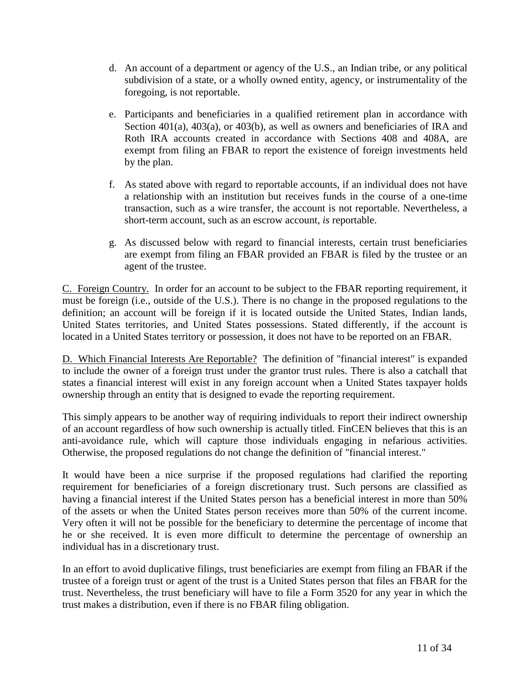- d. An account of a department or agency of the U.S., an Indian tribe, or any political subdivision of a state, or a wholly owned entity, agency, or instrumentality of the foregoing, is not reportable.
- e. Participants and beneficiaries in a qualified retirement plan in accordance with Section 401(a), 403(a), or 403(b), as well as owners and beneficiaries of IRA and Roth IRA accounts created in accordance with Sections 408 and 408A, are exempt from filing an FBAR to report the existence of foreign investments held by the plan.
- f. As stated above with regard to reportable accounts, if an individual does not have a relationship with an institution but receives funds in the course of a one-time transaction, such as a wire transfer, the account is not reportable. Nevertheless, a short-term account, such as an escrow account, *is* reportable.
- g. As discussed below with regard to financial interests, certain trust beneficiaries are exempt from filing an FBAR provided an FBAR is filed by the trustee or an agent of the trustee.

C. Foreign Country. In order for an account to be subject to the FBAR reporting requirement, it must be foreign (i.e., outside of the U.S.). There is no change in the proposed regulations to the definition; an account will be foreign if it is located outside the United States, Indian lands, United States territories, and United States possessions. Stated differently, if the account is located in a United States territory or possession, it does not have to be reported on an FBAR.

D. Which Financial Interests Are Reportable? The definition of "financial interest" is expanded to include the owner of a foreign trust under the grantor trust rules. There is also a catchall that states a financial interest will exist in any foreign account when a United States taxpayer holds ownership through an entity that is designed to evade the reporting requirement.

This simply appears to be another way of requiring individuals to report their indirect ownership of an account regardless of how such ownership is actually titled. FinCEN believes that this is an anti-avoidance rule, which will capture those individuals engaging in nefarious activities. Otherwise, the proposed regulations do not change the definition of "financial interest."

It would have been a nice surprise if the proposed regulations had clarified the reporting requirement for beneficiaries of a foreign discretionary trust. Such persons are classified as having a financial interest if the United States person has a beneficial interest in more than 50% of the assets or when the United States person receives more than 50% of the current income. Very often it will not be possible for the beneficiary to determine the percentage of income that he or she received. It is even more difficult to determine the percentage of ownership an individual has in a discretionary trust.

In an effort to avoid duplicative filings, trust beneficiaries are exempt from filing an FBAR if the trustee of a foreign trust or agent of the trust is a United States person that files an FBAR for the trust. Nevertheless, the trust beneficiary will have to file a Form 3520 for any year in which the trust makes a distribution, even if there is no FBAR filing obligation.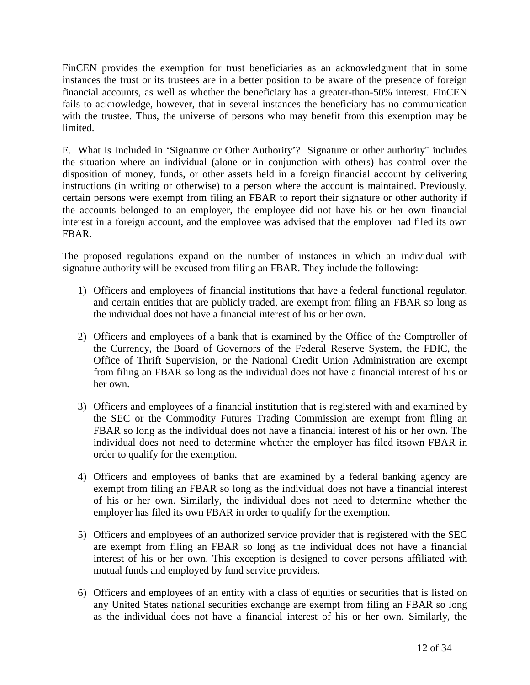FinCEN provides the exemption for trust beneficiaries as an acknowledgment that in some instances the trust or its trustees are in a better position to be aware of the presence of foreign financial accounts, as well as whether the beneficiary has a greater-than-50% interest. FinCEN fails to acknowledge, however, that in several instances the beneficiary has no communication with the trustee. Thus, the universe of persons who may benefit from this exemption may be limited.

E. What Is Included in 'Signature or Other Authority'? Signature or other authority" includes the situation where an individual (alone or in conjunction with others) has control over the disposition of money, funds, or other assets held in a foreign financial account by delivering instructions (in writing or otherwise) to a person where the account is maintained. Previously, certain persons were exempt from filing an FBAR to report their signature or other authority if the accounts belonged to an employer, the employee did not have his or her own financial interest in a foreign account, and the employee was advised that the employer had filed its own FBAR.

The proposed regulations expand on the number of instances in which an individual with signature authority will be excused from filing an FBAR. They include the following:

- 1) Officers and employees of financial institutions that have a federal functional regulator, and certain entities that are publicly traded, are exempt from filing an FBAR so long as the individual does not have a financial interest of his or her own.
- 2) Officers and employees of a bank that is examined by the Office of the Comptroller of the Currency, the Board of Governors of the Federal Reserve System, the FDIC, the Office of Thrift Supervision, or the National Credit Union Administration are exempt from filing an FBAR so long as the individual does not have a financial interest of his or her own.
- 3) Officers and employees of a financial institution that is registered with and examined by the SEC or the Commodity Futures Trading Commission are exempt from filing an FBAR so long as the individual does not have a financial interest of his or her own. The individual does not need to determine whether the employer has filed itsown FBAR in order to qualify for the exemption.
- 4) Officers and employees of banks that are examined by a federal banking agency are exempt from filing an FBAR so long as the individual does not have a financial interest of his or her own. Similarly, the individual does not need to determine whether the employer has filed its own FBAR in order to qualify for the exemption.
- 5) Officers and employees of an authorized service provider that is registered with the SEC are exempt from filing an FBAR so long as the individual does not have a financial interest of his or her own. This exception is designed to cover persons affiliated with mutual funds and employed by fund service providers.
- 6) Officers and employees of an entity with a class of equities or securities that is listed on any United States national securities exchange are exempt from filing an FBAR so long as the individual does not have a financial interest of his or her own. Similarly, the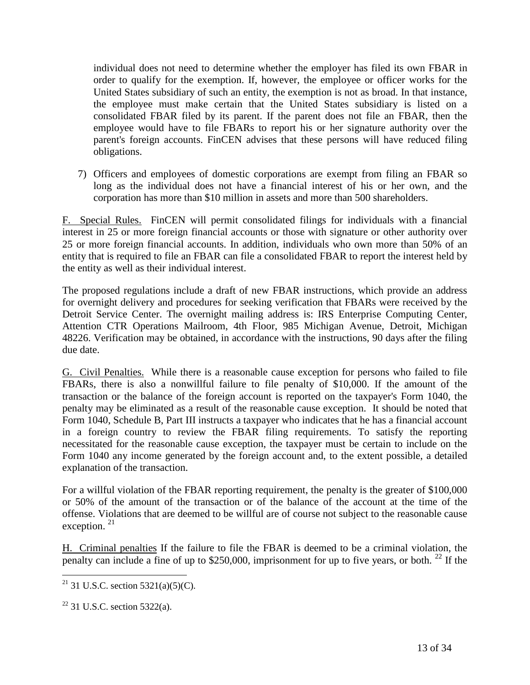individual does not need to determine whether the employer has filed its own FBAR in order to qualify for the exemption. If, however, the employee or officer works for the United States subsidiary of such an entity, the exemption is not as broad. In that instance, the employee must make certain that the United States subsidiary is listed on a consolidated FBAR filed by its parent. If the parent does not file an FBAR, then the employee would have to file FBARs to report his or her signature authority over the parent's foreign accounts. FinCEN advises that these persons will have reduced filing obligations.

7) Officers and employees of domestic corporations are exempt from filing an FBAR so long as the individual does not have a financial interest of his or her own, and the corporation has more than \$10 million in assets and more than 500 shareholders.

F. Special Rules. FinCEN will permit consolidated filings for individuals with a financial interest in 25 or more foreign financial accounts or those with signature or other authority over 25 or more foreign financial accounts. In addition, individuals who own more than 50% of an entity that is required to file an FBAR can file a consolidated FBAR to report the interest held by the entity as well as their individual interest.

The proposed regulations include a draft of new FBAR instructions, which provide an address for overnight delivery and procedures for seeking verification that FBARs were received by the Detroit Service Center. The overnight mailing address is: IRS Enterprise Computing Center, Attention CTR Operations Mailroom, 4th Floor, 985 Michigan Avenue, Detroit, Michigan 48226. Verification may be obtained, in accordance with the instructions, 90 days after the filing due date.

G. Civil Penalties. While there is a reasonable cause exception for persons who failed to file FBARs, there is also a nonwillful failure to file penalty of \$10,000. If the amount of the transaction or the balance of the foreign account is reported on the taxpayer's Form 1040, the penalty may be eliminated as a result of the reasonable cause exception. It should be noted that Form 1040, Schedule B, Part III instructs a taxpayer who indicates that he has a financial account in a foreign country to review the FBAR filing requirements. To satisfy the reporting necessitated for the reasonable cause exception, the taxpayer must be certain to include on the Form 1040 any income generated by the foreign account and, to the extent possible, a detailed explanation of the transaction.

For a willful violation of the FBAR reporting requirement, the penalty is the greater of \$100,000 or 50% of the amount of the transaction or of the balance of the account at the time of the offense. Violations that are deemed to be willful are of course not subject to the reasonable cause exception.<sup>[21](#page-12-0)</sup>

H. Criminal penalties If the failure to file the FBAR is deemed to be a criminal violation, the penalty can include a fine of up to \$250,000, imprisonment for up to five years, or both.  $^{22}$  $^{22}$  $^{22}$  If the

<span id="page-12-0"></span><sup>&</sup>lt;sup>21</sup> 31 U.S.C. section 5321(a)(5)(C).

<span id="page-12-1"></span> $22$  31 U.S.C. section 5322(a).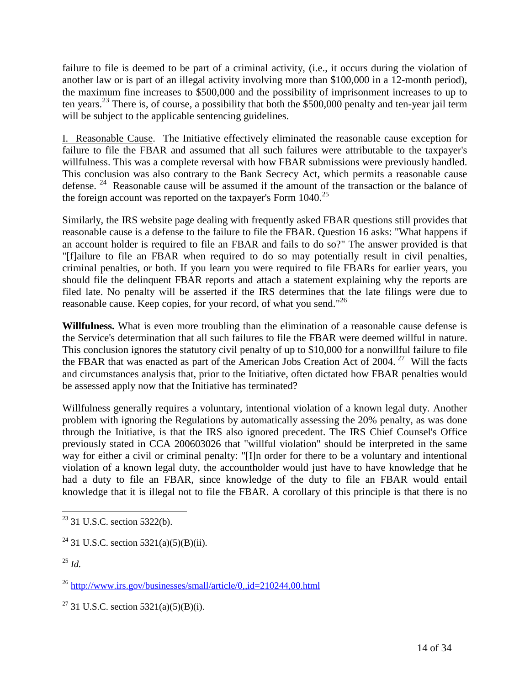failure to file is deemed to be part of a criminal activity, (i.e., it occurs during the violation of another law or is part of an illegal activity involving more than \$100,000 in a 12-month period), the maximum fine increases to \$500,000 and the possibility of imprisonment increases to up to ten years.[23](#page-13-0) There is, of course, a possibility that both the \$500,000 penalty and ten-year jail term will be subject to the applicable sentencing guidelines.

I. Reasonable Cause. The Initiative effectively eliminated the reasonable cause exception for failure to file the FBAR and assumed that all such failures were attributable to the taxpayer's willfulness. This was a complete reversal with how FBAR submissions were previously handled. This conclusion was also contrary to the Bank Secrecy Act, which permits a reasonable cause defense.<sup>[24](#page-13-1)</sup> Reasonable cause will be assumed if the amount of the transaction or the balance of the foreign account was reported on the taxpayer's Form  $1040$ <sup>[25](#page-13-2)</sup>

Similarly, the IRS website page dealing with frequently asked FBAR questions still provides that reasonable cause is a defense to the failure to file the FBAR. Question 16 asks: "What happens if an account holder is required to file an FBAR and fails to do so?" The answer provided is that "[f]ailure to file an FBAR when required to do so may potentially result in civil penalties, criminal penalties, or both. If you learn you were required to file FBARs for earlier years, you should file the delinquent FBAR reports and attach a statement explaining why the reports are filed late. No penalty will be asserted if the IRS determines that the late filings were due to reasonable cause. Keep copies, for your record, of what you send."<sup>[26](#page-13-3)</sup>

**Willfulness.** What is even more troubling than the elimination of a reasonable cause defense is the Service's determination that all such failures to file the FBAR were deemed willful in nature. This conclusion ignores the statutory civil penalty of up to \$10,000 for a nonwillful failure to file the FBAR that was enacted as part of the American Jobs Creation Act of 2004. [27](#page-13-4) Will the facts and circumstances analysis that, prior to the Initiative, often dictated how FBAR penalties would be assessed apply now that the Initiative has terminated?

Willfulness generally requires a voluntary, intentional violation of a known legal duty. Another problem with ignoring the Regulations by automatically assessing the 20% penalty, as was done through the Initiative, is that the IRS also ignored precedent. The IRS Chief Counsel's Office previously stated in CCA 200603026 that "willful violation" should be interpreted in the same way for either a civil or criminal penalty: "[I]n order for there to be a voluntary and intentional violation of a known legal duty, the accountholder would just have to have knowledge that he had a duty to file an FBAR, since knowledge of the duty to file an FBAR would entail knowledge that it is illegal not to file the FBAR. A corollary of this principle is that there is no

<span id="page-13-0"></span> $23$  31 U.S.C. section 5322(b).

<span id="page-13-1"></span><sup>&</sup>lt;sup>24</sup> 31 U.S.C. section 5321(a)(5)(B)(ii).

<span id="page-13-2"></span><sup>25</sup> *Id.*

<span id="page-13-3"></span><sup>26</sup> http://www.irs.gov/businesses/small/article/0,,id=210244,00.html

<span id="page-13-4"></span><sup>&</sup>lt;sup>27</sup> 31 U.S.C. section 5321(a)(5)(B)(i).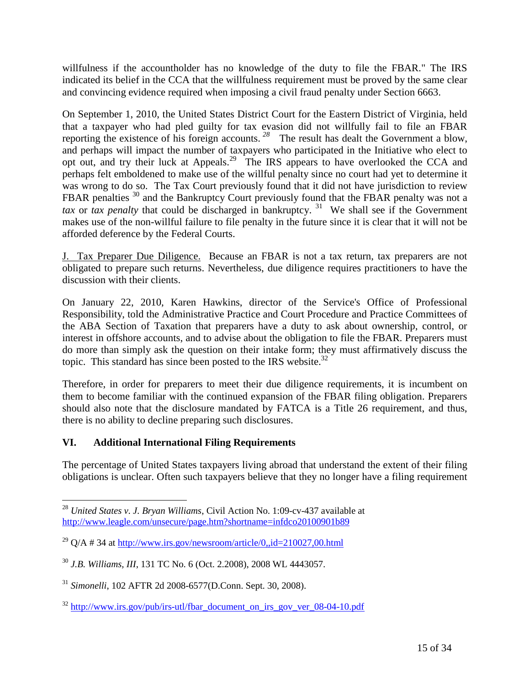willfulness if the accountholder has no knowledge of the duty to file the FBAR." The IRS indicated its belief in the CCA that the willfulness requirement must be proved by the same clear and convincing evidence required when imposing a civil fraud penalty under Section 6663.

On September 1, 2010, the United States District Court for the Eastern District of Virginia, held that a taxpayer who had pled guilty for tax evasion did not willfully fail to file an FBAR reporting the existence of his foreign accounts. <sup>[28](#page-14-0)</sup> The result has dealt the Government a blow, and perhaps will impact the number of taxpayers who participated in the Initiative who elect to opt out, and try their luck at Appeals.<sup>[29](#page-14-1)</sup> The IRS appears to have overlooked the CCA and perhaps felt emboldened to make use of the willful penalty since no court had yet to determine it was wrong to do so. The Tax Court previously found that it did not have jurisdiction to review FBAR penalties <sup>[30](#page-14-2)</sup> and the Bankruptcy Court previously found that the FBAR penalty was not a *tax* or *tax penalty* that could be discharged in bankruptcy.<sup>[31](#page-14-3)</sup> We shall see if the Government makes use of the non-willful failure to file penalty in the future since it is clear that it will not be afforded deference by the Federal Courts.

J. Tax Preparer Due Diligence. Because an FBAR is not a tax return, tax preparers are not obligated to prepare such returns. Nevertheless, due diligence requires practitioners to have the discussion with their clients.

On January 22, 2010, Karen Hawkins, director of the Service's Office of Professional Responsibility, told the Administrative Practice and Court Procedure and Practice Committees of the ABA Section of Taxation that preparers have a duty to ask about ownership, control, or interest in offshore accounts, and to advise about the obligation to file the FBAR. Preparers must do more than simply ask the question on their intake form; they must affirmatively discuss the topic. This standard has since been posted to the IRS website. $32$ 

Therefore, in order for preparers to meet their due diligence requirements, it is incumbent on them to become familiar with the continued expansion of the FBAR filing obligation. Preparers should also note that the disclosure mandated by FATCA is a Title 26 requirement, and thus, there is no ability to decline preparing such disclosures.

## **VI. Additional International Filing Requirements**

The percentage of United States taxpayers living abroad that understand the extent of their filing obligations is unclear. Often such taxpayers believe that they no longer have a filing requirement

<span id="page-14-0"></span><sup>28</sup> *United States v. J. Bryan Williams*, Civil Action No. 1:09-cv-437 available at http://www.leagle.com/unsecure/page.htm?shortname=infdco20100901b89

<span id="page-14-1"></span><sup>&</sup>lt;sup>29</sup> Q/A # 34 at http://www.irs.gov/newsroom/article/0,,id=210027,00.html

<span id="page-14-2"></span><sup>30</sup> *J.B. Williams, III*, 131 TC No. 6 (Oct. 2.2008), 2008 WL 4443057.

<span id="page-14-3"></span><sup>31</sup> *Simonelli*, 102 AFTR 2d 2008-6577(D.Conn. Sept. 30, 2008).

<span id="page-14-4"></span><sup>&</sup>lt;sup>32</sup> http://www.irs.gov/pub/irs-utl/fbar\_document\_on\_irs\_gov\_ver\_08-04-10.pdf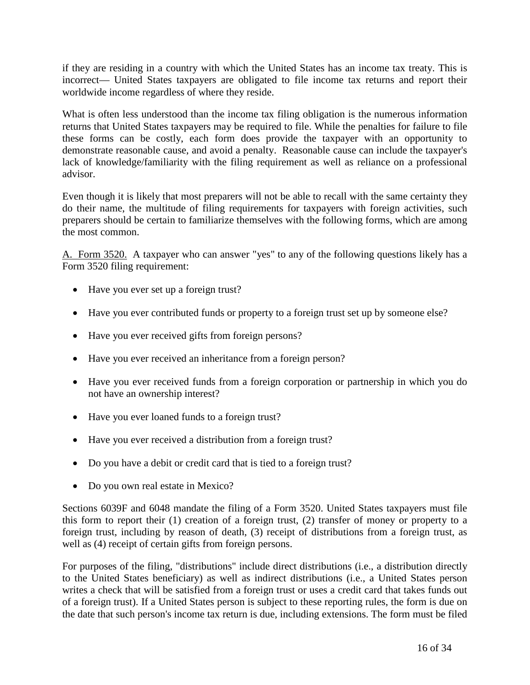if they are residing in a country with which the United States has an income tax treaty. This is incorrect— United States taxpayers are obligated to file income tax returns and report their worldwide income regardless of where they reside.

What is often less understood than the income tax filing obligation is the numerous information returns that United States taxpayers may be required to file. While the penalties for failure to file these forms can be costly, each form does provide the taxpayer with an opportunity to demonstrate reasonable cause, and avoid a penalty. Reasonable cause can include the taxpayer's lack of knowledge/familiarity with the filing requirement as well as reliance on a professional advisor.

Even though it is likely that most preparers will not be able to recall with the same certainty they do their name, the multitude of filing requirements for taxpayers with foreign activities, such preparers should be certain to familiarize themselves with the following forms, which are among the most common.

A. Form 3520. A taxpayer who can answer "yes" to any of the following questions likely has a Form 3520 filing requirement:

- Have you ever set up a foreign trust?
- Have you ever contributed funds or property to a foreign trust set up by someone else?
- Have you ever received gifts from foreign persons?
- Have you ever received an inheritance from a foreign person?
- Have you ever received funds from a foreign corporation or partnership in which you do not have an ownership interest?
- Have you ever loaned funds to a foreign trust?
- Have you ever received a distribution from a foreign trust?
- Do you have a debit or credit card that is tied to a foreign trust?
- Do you own real estate in Mexico?

Sections 6039F and 6048 mandate the filing of a Form 3520. United States taxpayers must file this form to report their (1) creation of a foreign trust, (2) transfer of money or property to a foreign trust, including by reason of death, (3) receipt of distributions from a foreign trust, as well as (4) receipt of certain gifts from foreign persons.

For purposes of the filing, "distributions" include direct distributions (i.e., a distribution directly to the United States beneficiary) as well as indirect distributions (i.e., a United States person writes a check that will be satisfied from a foreign trust or uses a credit card that takes funds out of a foreign trust). If a United States person is subject to these reporting rules, the form is due on the date that such person's income tax return is due, including extensions. The form must be filed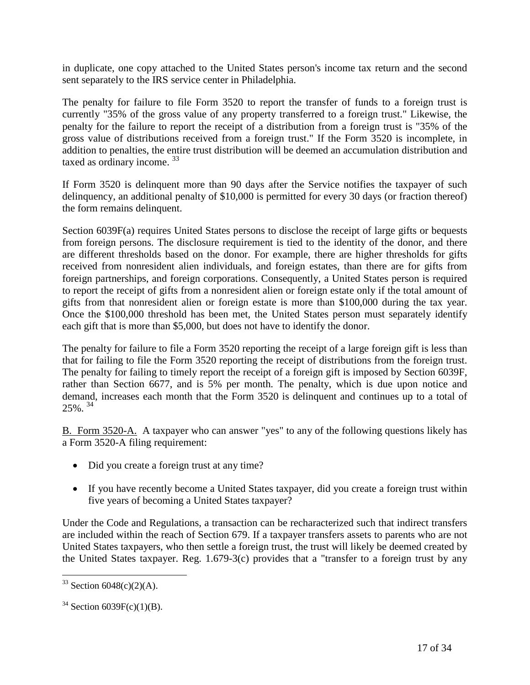in duplicate, one copy attached to the United States person's income tax return and the second sent separately to the IRS service center in Philadelphia.

The penalty for failure to file Form 3520 to report the transfer of funds to a foreign trust is currently "35% of the gross value of any property transferred to a foreign trust." Likewise, the penalty for the failure to report the receipt of a distribution from a foreign trust is "35% of the gross value of distributions received from a foreign trust." If the Form 3520 is incomplete, in addition to penalties, the entire trust distribution will be deemed an accumulation distribution and taxed as ordinary income. [33](#page-16-0)

If Form 3520 is delinquent more than 90 days after the Service notifies the taxpayer of such delinquency, an additional penalty of \$10,000 is permitted for every 30 days (or fraction thereof) the form remains delinquent.

Section 6039F(a) requires United States persons to disclose the receipt of large gifts or bequests from foreign persons. The disclosure requirement is tied to the identity of the donor, and there are different thresholds based on the donor. For example, there are higher thresholds for gifts received from nonresident alien individuals, and foreign estates, than there are for gifts from foreign partnerships, and foreign corporations. Consequently, a United States person is required to report the receipt of gifts from a nonresident alien or foreign estate only if the total amount of gifts from that nonresident alien or foreign estate is more than \$100,000 during the tax year. Once the \$100,000 threshold has been met, the United States person must separately identify each gift that is more than \$5,000, but does not have to identify the donor.

The penalty for failure to file a Form 3520 reporting the receipt of a large foreign gift is less than that for failing to file the Form 3520 reporting the receipt of distributions from the foreign trust. The penalty for failing to timely report the receipt of a foreign gift is imposed by Section 6039F, rather than Section 6677, and is 5% per month. The penalty, which is due upon notice and demand, increases each month that the Form 3520 is delinquent and continues up to a total of  $25\%$ <sup>[34](#page-16-1)</sup>

B. Form 3520-A. A taxpayer who can answer "yes" to any of the following questions likely has a Form 3520-A filing requirement:

- Did you create a foreign trust at any time?
- If you have recently become a United States taxpayer, did you create a foreign trust within five years of becoming a United States taxpayer?

Under the Code and Regulations, a transaction can be recharacterized such that indirect transfers are included within the reach of Section 679. If a taxpayer transfers assets to parents who are not United States taxpayers, who then settle a foreign trust, the trust will likely be deemed created by the United States taxpayer. Reg. 1.679-3(c) provides that a "transfer to a foreign trust by any

<span id="page-16-0"></span><sup>&</sup>lt;sup>33</sup> Section 6048(c)(2)(A).

<span id="page-16-1"></span> $34$  Section 6039F(c)(1)(B).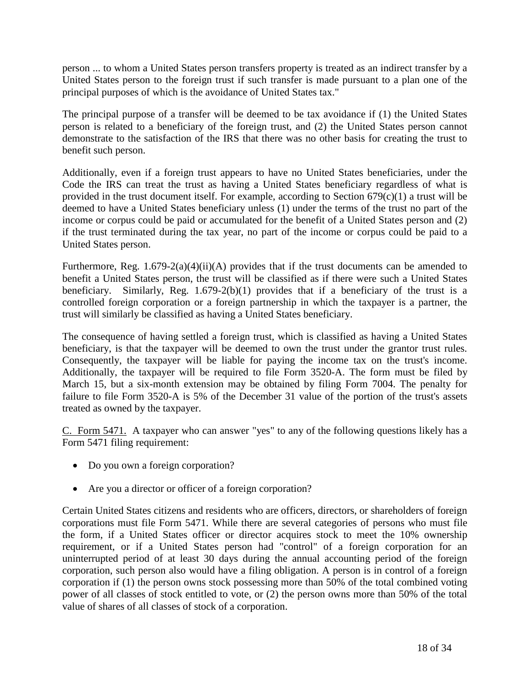person ... to whom a United States person transfers property is treated as an indirect transfer by a United States person to the foreign trust if such transfer is made pursuant to a plan one of the principal purposes of which is the avoidance of United States tax."

The principal purpose of a transfer will be deemed to be tax avoidance if (1) the United States person is related to a beneficiary of the foreign trust, and (2) the United States person cannot demonstrate to the satisfaction of the IRS that there was no other basis for creating the trust to benefit such person.

Additionally, even if a foreign trust appears to have no United States beneficiaries, under the Code the IRS can treat the trust as having a United States beneficiary regardless of what is provided in the trust document itself. For example, according to Section 679(c)(1) a trust will be deemed to have a United States beneficiary unless (1) under the terms of the trust no part of the income or corpus could be paid or accumulated for the benefit of a United States person and (2) if the trust terminated during the tax year, no part of the income or corpus could be paid to a United States person.

Furthermore, Reg. 1.679-2(a)(4)(ii)(A) provides that if the trust documents can be amended to benefit a United States person, the trust will be classified as if there were such a United States beneficiary. Similarly, Reg. 1.679-2(b)(1) provides that if a beneficiary of the trust is a controlled foreign corporation or a foreign partnership in which the taxpayer is a partner, the trust will similarly be classified as having a United States beneficiary.

The consequence of having settled a foreign trust, which is classified as having a United States beneficiary, is that the taxpayer will be deemed to own the trust under the grantor trust rules. Consequently, the taxpayer will be liable for paying the income tax on the trust's income. Additionally, the taxpayer will be required to file Form 3520-A. The form must be filed by March 15, but a six-month extension may be obtained by filing Form 7004. The penalty for failure to file Form 3520-A is 5% of the December 31 value of the portion of the trust's assets treated as owned by the taxpayer.

C. Form 5471. A taxpayer who can answer "yes" to any of the following questions likely has a Form 5471 filing requirement:

- Do you own a foreign corporation?
- Are you a director or officer of a foreign corporation?

Certain United States citizens and residents who are officers, directors, or shareholders of foreign corporations must file Form 5471. While there are several categories of persons who must file the form, if a United States officer or director acquires stock to meet the 10% ownership requirement, or if a United States person had "control" of a foreign corporation for an uninterrupted period of at least 30 days during the annual accounting period of the foreign corporation, such person also would have a filing obligation. A person is in control of a foreign corporation if (1) the person owns stock possessing more than 50% of the total combined voting power of all classes of stock entitled to vote, or (2) the person owns more than 50% of the total value of shares of all classes of stock of a corporation.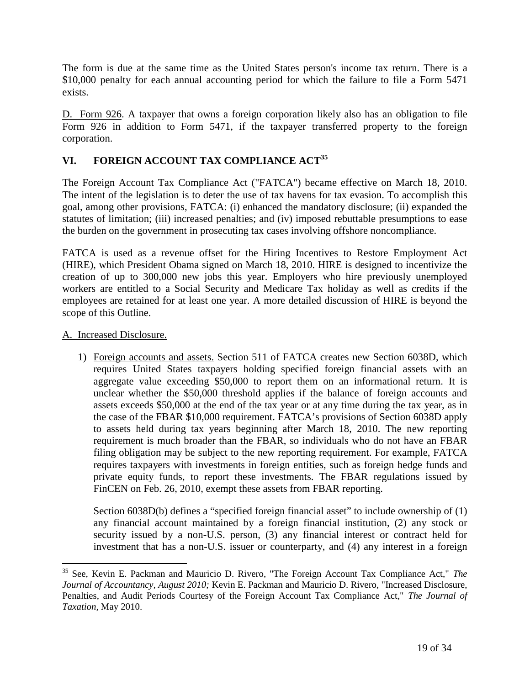The form is due at the same time as the United States person's income tax return. There is a \$10,000 penalty for each annual accounting period for which the failure to file a Form 5471 exists.

D. Form 926. A taxpayer that owns a foreign corporation likely also has an obligation to file Form 926 in addition to Form 5471, if the taxpayer transferred property to the foreign corporation.

## **VI. FOREIGN ACCOUNT TAX COMPLIANCEAC[T](#page-18-0)<sup>35</sup>**

The Foreign Account Tax Compliance Act ("FATCA") became effective on March 18, 2010. The intent of the legislation is to deter the use of tax havens for tax evasion. To accomplish this goal, among other provisions, FATCA: (i) enhanced the mandatory disclosure; (ii) expanded the statutes of limitation; (iii) increased penalties; and (iv) imposed rebuttable presumptions to ease the burden on the government in prosecuting tax cases involving offshore noncompliance.

FATCA is used as a revenue offset for the Hiring Incentives to Restore Employment Act (HIRE), which President Obama signed on March 18, 2010. HIRE is designed to incentivize the creation of up to 300,000 new jobs this year. Employers who hire previously unemployed workers are entitled to a Social Security and Medicare Tax holiday as well as credits if the employees are retained for at least one year. A more detailed discussion of HIRE is beyond the scope of this Outline.

#### A. Increased Disclosure.

1) Foreign accounts and assets. Section 511 of FATCA creates new Section 6038D, which requires United States taxpayers holding specified foreign financial assets with an aggregate value exceeding \$50,000 to report them on an informational return. It is unclear whether the \$50,000 threshold applies if the balance of foreign accounts and assets exceeds \$50,000 at the end of the tax year or at any time during the tax year, as in the case of the FBAR \$10,000 requirement. FATCA's provisions of Section 6038D apply to assets held during tax years beginning after March 18, 2010. The new reporting requirement is much broader than the FBAR, so individuals who do not have an FBAR filing obligation may be subject to the new reporting requirement. For example, FATCA requires taxpayers with investments in foreign entities, such as foreign hedge funds and private equity funds, to report these investments. The FBAR regulations issued by FinCEN on Feb. 26, 2010, exempt these assets from FBAR reporting.

Section 6038D(b) defines a "specified foreign financial asset" to include ownership of (1) any financial account maintained by a foreign financial institution, (2) any stock or security issued by a non-U.S. person, (3) any financial interest or contract held for investment that has a non-U.S. issuer or counterparty, and (4) any interest in a foreign

<span id="page-18-0"></span><sup>35</sup> See, Kevin E. Packman and Mauricio D. Rivero, "The Foreign Account Tax Compliance Act," *The Journal of Accountancy, August 2010;* Kevin E. Packman and Mauricio D. Rivero, "Increased Disclosure, Penalties, and Audit Periods Courtesy of the Foreign Account Tax Compliance Act," *The Journal of Taxation,* May 2010.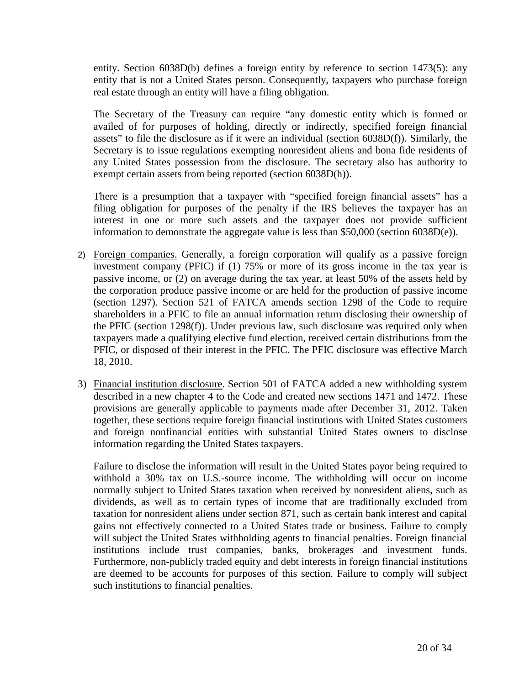entity. Section 6038D(b) defines a foreign entity by reference to section 1473(5): any entity that is not a United States person. Consequently, taxpayers who purchase foreign real estate through an entity will have a filing obligation.

The Secretary of the Treasury can require "any domestic entity which is formed or availed of for purposes of holding, directly or indirectly, specified foreign financial assets" to file the disclosure as if it were an individual (section 6038D(f)). Similarly, the Secretary is to issue regulations exempting nonresident aliens and bona fide residents of any United States possession from the disclosure. The secretary also has authority to exempt certain assets from being reported (section 6038D(h)).

There is a presumption that a taxpayer with "specified foreign financial assets" has a filing obligation for purposes of the penalty if the IRS believes the taxpayer has an interest in one or more such assets and the taxpayer does not provide sufficient information to demonstrate the aggregate value is less than \$50,000 (section 6038D(e)).

- 2) Foreign companies. Generally, a foreign corporation will qualify as a passive foreign investment company (PFIC) if (1) 75% or more of its gross income in the tax year is passive income, or (2) on average during the tax year, at least 50% of the assets held by the corporation produce passive income or are held for the production of passive income (section 1297). Section 521 of FATCA amends section 1298 of the Code to require shareholders in a PFIC to file an annual information return disclosing their ownership of the PFIC (section 1298(f)). Under previous law, such disclosure was required only when taxpayers made a qualifying elective fund election, received certain distributions from the PFIC, or disposed of their interest in the PFIC. The PFIC disclosure was effective March 18, 2010.
- 3) Financial institution disclosure. Section 501 of FATCA added a new withholding system described in a new chapter 4 to the Code and created new sections 1471 and 1472. These provisions are generally applicable to payments made after December 31, 2012. Taken together, these sections require foreign financial institutions with United States customers and foreign nonfinancial entities with substantial United States owners to disclose information regarding the United States taxpayers.

Failure to disclose the information will result in the United States payor being required to withhold a 30% tax on U.S.-source income. The withholding will occur on income normally subject to United States taxation when received by nonresident aliens, such as dividends, as well as to certain types of income that are traditionally excluded from taxation for nonresident aliens under section 871, such as certain bank interest and capital gains not effectively connected to a United States trade or business. Failure to comply will subject the United States withholding agents to financial penalties. Foreign financial institutions include trust companies, banks, brokerages and investment funds. Furthermore, non-publicly traded equity and debt interests in foreign financial institutions are deemed to be accounts for purposes of this section. Failure to comply will subject such institutions to financial penalties.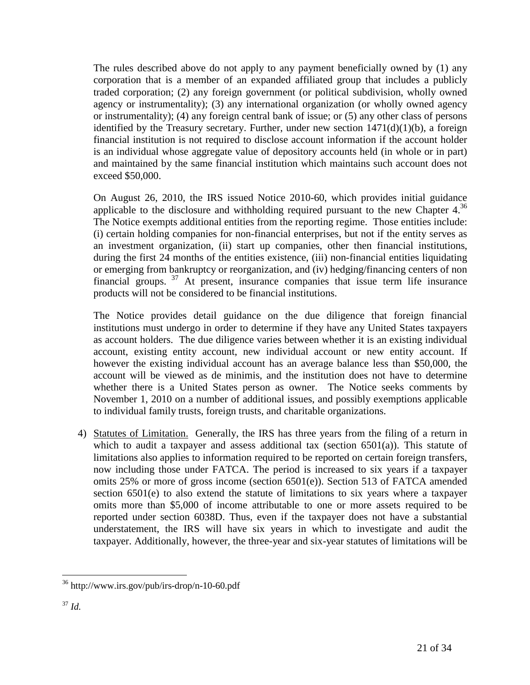The rules described above do not apply to any payment beneficially owned by (1) any corporation that is a member of an expanded affiliated group that includes a publicly traded corporation; (2) any foreign government (or political subdivision, wholly owned agency or instrumentality); (3) any international organization (or wholly owned agency or instrumentality); (4) any foreign central bank of issue; or (5) any other class of persons identified by the Treasury secretary. Further, under new section  $1471(d)(1)(b)$ , a foreign financial institution is not required to disclose account information if the account holder is an individual whose aggregate value of depository accounts held (in whole or in part) and maintained by the same financial institution which maintains such account does not exceed \$50,000.

On August 26, 2010, the IRS issued Notice 2010-60, which provides initial guidance applicableto the disclosure and withholding required pursuant to the new Chapter  $4^{36}$ The Notice exempts additional entities from the reporting regime. Those entities include: (i) certain holding companies for non-financial enterprises, but not if the entity serves as an investment organization, (ii) start up companies, other then financial institutions, during the first 24 months of the entities existence, (iii) non-financial entities liquidating or emerging from bankruptcy or reorganization, and (iv) hedging/financing centers of non financial groups. [37](#page-20-1) At present, insurance companies that issue term life insurance products will not be considered to be financial institutions.

The Notice provides detail guidance on the due diligence that foreign financial institutions must undergo in order to determine if they have any United States taxpayers as account holders. The due diligence varies between whether it is an existing individual account, existing entity account, new individual account or new entity account. If however the existing individual account has an average balance less than \$50,000, the account will be viewed as de minimis, and the institution does not have to determine whether there is a United States person as owner. The Notice seeks comments by November 1, 2010 on a number of additional issues, and possibly exemptions applicable to individual family trusts, foreign trusts, and charitable organizations.

4) Statutes of Limitation. Generally, the IRS has three years from the filing of a return in which to audit a taxpayer and assess additional tax (section  $6501(a)$ ). This statute of limitations also applies to information required to be reported on certain foreign transfers, now including those under FATCA. The period is increased to six years if a taxpayer omits 25% or more of gross income (section 6501(e)). Section 513 of FATCA amended section 6501(e) to also extend the statute of limitations to six years where a taxpayer omits more than \$5,000 of income attributable to one or more assets required to be reported under section 6038D. Thus, even if the taxpayer does not have a substantial understatement, the IRS will have six years in which to investigate and audit the taxpayer. Additionally, however, the three-year and six-year statutes of limitations will be

<span id="page-20-1"></span><span id="page-20-0"></span><sup>36</sup> http://www.irs.gov/pub/irs-drop/n-10-60.pdf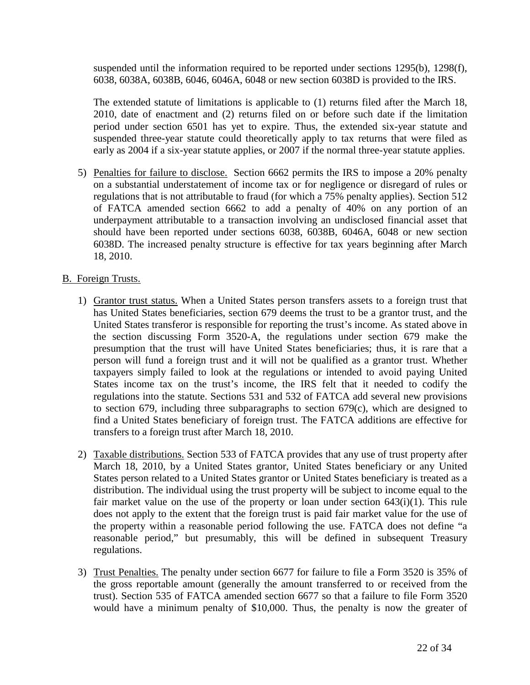suspended until the information required to be reported under sections 1295(b), 1298(f), 6038, 6038A, 6038B, 6046, 6046A, 6048 or new section 6038D is provided to the IRS.

The extended statute of limitations is applicable to (1) returns filed after the March 18, 2010, date of enactment and (2) returns filed on or before such date if the limitation period under section 6501 has yet to expire. Thus, the extended six-year statute and suspended three-year statute could theoretically apply to tax returns that were filed as early as 2004 if a six-year statute applies, or 2007 if the normal three-year statute applies.

5) Penalties for failure to disclose. Section 6662 permits the IRS to impose a 20% penalty on a substantial understatement of income tax or for negligence or disregard of rules or regulations that is not attributable to fraud (for which a 75% penalty applies). Section 512 of FATCA amended section 6662 to add a penalty of 40% on any portion of an underpayment attributable to a transaction involving an undisclosed financial asset that should have been reported under sections 6038, 6038B, 6046A, 6048 or new section 6038D. The increased penalty structure is effective for tax years beginning after March 18, 2010.

#### B. Foreign Trusts.

- 1) Grantor trust status. When a United States person transfers assets to a foreign trust that has United States beneficiaries, section 679 deems the trust to be a grantor trust, and the United States transferor is responsible for reporting the trust's income. As stated above in the section discussing Form 3520-A, the regulations under section 679 make the presumption that the trust will have United States beneficiaries; thus, it is rare that a person will fund a foreign trust and it will not be qualified as a grantor trust. Whether taxpayers simply failed to look at the regulations or intended to avoid paying United States income tax on the trust's income, the IRS felt that it needed to codify the regulations into the statute. Sections 531 and 532 of FATCA add several new provisions to section 679, including three subparagraphs to section 679(c), which are designed to find a United States beneficiary of foreign trust. The FATCA additions are effective for transfers to a foreign trust after March 18, 2010.
- 2) Taxable distributions. Section 533 of FATCA provides that any use of trust property after March 18, 2010, by a United States grantor, United States beneficiary or any United States person related to a United States grantor or United States beneficiary is treated as a distribution. The individual using the trust property will be subject to income equal to the fair market value on the use of the property or loan under section  $643(i)(1)$ . This rule does not apply to the extent that the foreign trust is paid fair market value for the use of the property within a reasonable period following the use. FATCA does not define "a reasonable period," but presumably, this will be defined in subsequent Treasury regulations.
- 3) Trust Penalties. The penalty under section 6677 for failure to file a Form 3520 is 35% of the gross reportable amount (generally the amount transferred to or received from the trust). Section 535 of FATCA amended section 6677 so that a failure to file Form 3520 would have a minimum penalty of \$10,000. Thus, the penalty is now the greater of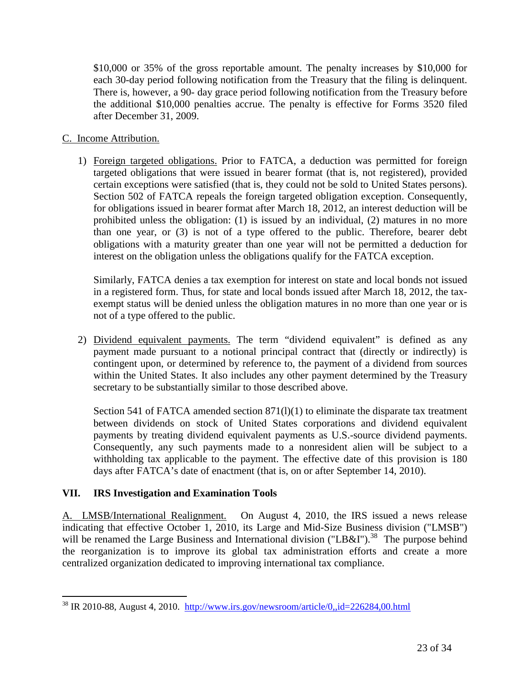\$10,000 or 35% of the gross reportable amount. The penalty increases by \$10,000 for each 30-day period following notification from the Treasury that the filing is delinquent. There is, however, a 90- day grace period following notification from the Treasury before the additional \$10,000 penalties accrue. The penalty is effective for Forms 3520 filed after December 31, 2009.

#### C. Income Attribution.

1) Foreign targeted obligations. Prior to FATCA, a deduction was permitted for foreign targeted obligations that were issued in bearer format (that is, not registered), provided certain exceptions were satisfied (that is, they could not be sold to United States persons). Section 502 of FATCA repeals the foreign targeted obligation exception. Consequently, for obligations issued in bearer format after March 18, 2012, an interest deduction will be prohibited unless the obligation: (1) is issued by an individual, (2) matures in no more than one year, or (3) is not of a type offered to the public. Therefore, bearer debt obligations with a maturity greater than one year will not be permitted a deduction for interest on the obligation unless the obligations qualify for the FATCA exception.

Similarly, FATCA denies a tax exemption for interest on state and local bonds not issued in a registered form. Thus, for state and local bonds issued after March 18, 2012, the taxexempt status will be denied unless the obligation matures in no more than one year or is not of a type offered to the public.

2) Dividend equivalent payments. The term "dividend equivalent" is defined as any payment made pursuant to a notional principal contract that (directly or indirectly) is contingent upon, or determined by reference to, the payment of a dividend from sources within the United States. It also includes any other payment determined by the Treasury secretary to be substantially similar to those described above.

Section 541 of FATCA amended section 871(1)(1) to eliminate the disparate tax treatment between dividends on stock of United States corporations and dividend equivalent payments by treating dividend equivalent payments as U.S.-source dividend payments. Consequently, any such payments made to a nonresident alien will be subject to a withholding tax applicable to the payment. The effective date of this provision is 180 days after FATCA's date of enactment (that is, on or after September 14, 2010).

#### **VII. IRS Investigation and Examination Tools**

A. LMSB/International Realignment. On August 4, 2010, the IRS issued a news release indicating that effective October 1, 2010, its Large and Mid-Size Business division ("LMSB") will be renamed the Large Business and International division ("LB&I").<sup>[38](#page-22-0)</sup> The purpose behind the reorganization is to improve its global tax administration efforts and create a more centralized organization dedicated to improving international tax compliance.

<span id="page-22-0"></span> $38$  IR 2010-88, August 4, 2010. http://www.irs.gov/newsroom/article/0,, $id=226284,00.html$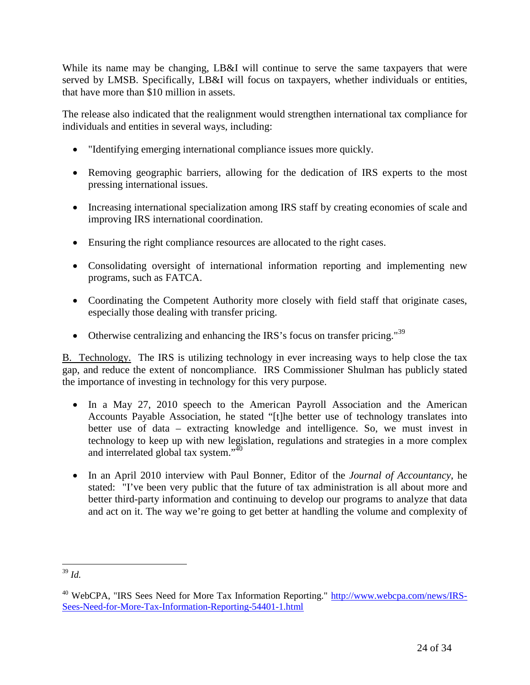While its name may be changing, LB&I will continue to serve the same taxpayers that were served by LMSB. Specifically, LB&I will focus on taxpayers, whether individuals or entities, that have more than \$10 million in assets.

The release also indicated that the realignment would strengthen international tax compliance for individuals and entities in several ways, including:

- "Identifying emerging international compliance issues more quickly.
- Removing geographic barriers, allowing for the dedication of IRS experts to the most pressing international issues.
- Increasing international specialization among IRS staff by creating economies of scale and improving IRS international coordination.
- Ensuring the right compliance resources are allocated to the right cases.
- Consolidating oversight of international information reporting and implementing new programs, such as FATCA.
- Coordinating the Competent Authority more closely with field staff that originate cases, especially those dealing with transfer pricing.
- Otherwise centralizing and enhancing the IRS's focus on transfer pricing."<sup>[39](#page-23-0)</sup>

B. Technology. The IRS is utilizing technology in ever increasing ways to help close the tax gap, and reduce the extent of noncompliance. IRS Commissioner Shulman has publicly stated the importance of investing in technology for this very purpose.

- In a May 27, 2010 speech to the American Payroll Association and the American Accounts Payable Association, he stated "[t]he better use of technology translates into better use of data – extracting knowledge and intelligence. So, we must invest in technology to keep up with new legislation, regulations and strategies in a more complex and interrelated global tax system."[40](#page-23-1)
- In an April 2010 interview with Paul Bonner, Editor of the *Journal of Accountancy*, he stated: "I've been very public that the future of tax administration is all about more and better third-party information and continuing to develop our programs to analyze that data and act on it. The way we're going to get better at handling the volume and complexity of

<span id="page-23-0"></span><sup>39</sup> *Id.*

<span id="page-23-1"></span><sup>&</sup>lt;sup>40</sup> WebCPA, "IRS Sees Need for More Tax Information Reporting." http://www.webcpa.com/news/IRS-Sees-Need-for-More-Tax-Information-Reporting-54401-1.html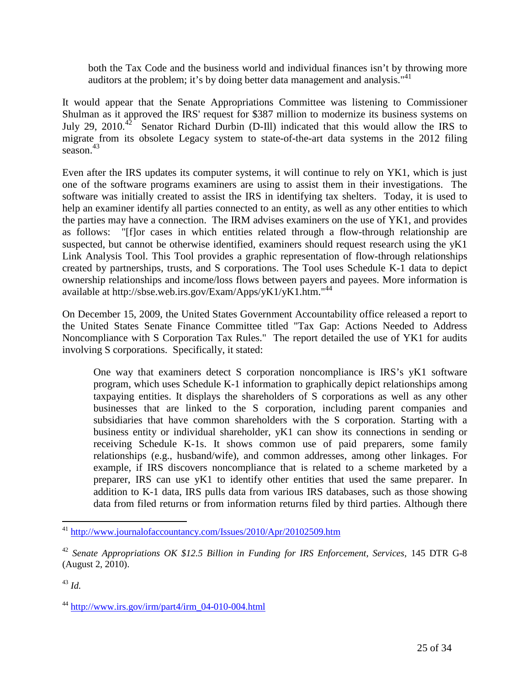both the Tax Code and the business world and individual finances isn't by throwing more auditors at the problem; it's by doing better data management and analysis." $41$ 

It would appear that the Senate Appropriations Committee was listening to Commissioner Shulman as it approved the IRS' request for \$387 million to modernize its business systems on July 29, 2010.<sup>[42](#page-24-1)</sup> Senator Richard Durbin (D-Ill) indicated that this would allow the IRS to migrate from its obsolete Legacy system to state-of-the-art data systems in the 2012 filing season. $43$ 

Even after the IRS updates its computer systems, it will continue to rely on YK1, which is just one of the software programs examiners are using to assist them in their investigations. The software was initially created to assist the IRS in identifying tax shelters. Today, it is used to help an examiner identify all parties connected to an entity, as well as any other entities to which the parties may have a connection. The IRM advises examiners on the use of YK1, and provides as follows: "[f]or cases in which entities related through a flow-through relationship are suspected, but cannot be otherwise identified, examiners should request research using the yK1 Link Analysis Tool. This Tool provides a graphic representation of flow-through relationships created by partnerships, trusts, and S corporations. The Tool uses Schedule K-1 data to depict ownership relationships and income/loss flows between payers and payees. More information is available at http://sbse.web.irs.gov/Exam/Apps/yK1/yK1.htm."[44](#page-24-3)

On December 15, 2009, the United States Government Accountability office released a report to the United States Senate Finance Committee titled "Tax Gap: Actions Needed to Address Noncompliance with S Corporation Tax Rules." The report detailed the use of YK1 for audits involving S corporations. Specifically, it stated:

One way that examiners detect S corporation noncompliance is IRS's yK1 software program, which uses Schedule K-1 information to graphically depict relationships among taxpaying entities. It displays the shareholders of S corporations as well as any other businesses that are linked to the S corporation, including parent companies and subsidiaries that have common shareholders with the S corporation. Starting with a business entity or individual shareholder, yK1 can show its connections in sending or receiving Schedule K-1s. It shows common use of paid preparers, some family relationships (e.g., husband/wife), and common addresses, among other linkages. For example, if IRS discovers noncompliance that is related to a scheme marketed by a preparer, IRS can use yK1 to identify other entities that used the same preparer. In addition to K-1 data, IRS pulls data from various IRS databases, such as those showing data from filed returns or from information returns filed by third parties. Although there

<span id="page-24-0"></span><sup>41</sup> http://www.journalofaccountancy.com/Issues/2010/Apr/20102509.htm

<span id="page-24-1"></span><sup>42</sup> *Senate Appropriations OK \$12.5 Billion in Funding for IRS Enforcement, Services,* 145 DTR G-8 (August 2, 2010).

<span id="page-24-2"></span><sup>43</sup> *Id.*

<span id="page-24-3"></span> $^{44}$  http://www.irs.gov/irm/part4/irm\_04-010-004.html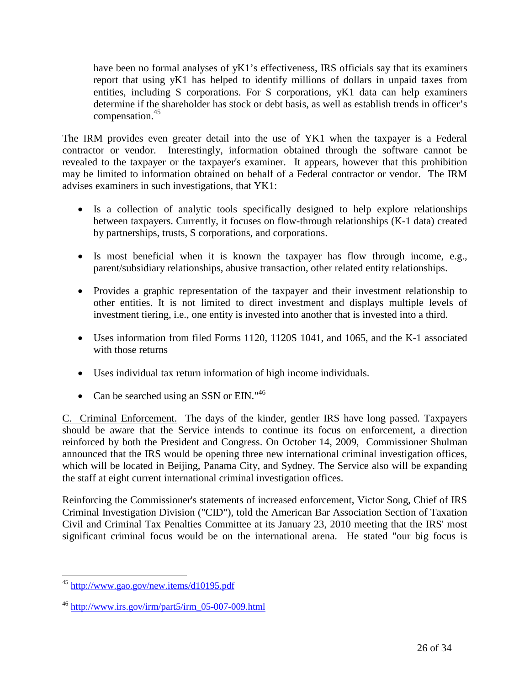have been no formal analyses of yK1's effectiveness, IRS officials say that its examiners report that using yK1 has helped to identify millions of dollars in unpaid taxes from entities, including S corporations. For S corporations, yK1 data can help examiners determine if the shareholder has stock or debt basis, as well as establish trends in officer's compensation.<sup>[45](#page-25-0)</sup>

The IRM provides even greater detail into the use of YK1 when the taxpayer is a Federal contractor or vendor. Interestingly, information obtained through the software cannot be revealed to the taxpayer or the taxpayer's examiner. It appears, however that this prohibition may be limited to information obtained on behalf of a Federal contractor or vendor. The IRM advises examiners in such investigations, that YK1:

- Is a collection of analytic tools specifically designed to help explore relationships between taxpayers. Currently, it focuses on flow-through relationships (K-1 data) created by partnerships, trusts, S corporations, and corporations.
- Is most beneficial when it is known the taxpayer has flow through income, e.g., parent/subsidiary relationships, abusive transaction, other related entity relationships.
- Provides a graphic representation of the taxpayer and their investment relationship to other entities. It is not limited to direct investment and displays multiple levels of investment tiering, i.e., one entity is invested into another that is invested into a third.
- Uses information from filed Forms 1120, 1120S 1041, and 1065, and the K-1 associated with those returns
- Uses individual tax return information of high income individuals.
- Can be searched using an SSN or  $EIN.^{46}$  $EIN.^{46}$  $EIN.^{46}$

C. Criminal Enforcement. The days of the kinder, gentler IRS have long passed. Taxpayers should be aware that the Service intends to continue its focus on enforcement, a direction reinforced by both the President and Congress. On October 14, 2009, Commissioner Shulman announced that the IRS would be opening three new international criminal investigation offices, which will be located in Beijing, Panama City, and Sydney. The Service also will be expanding the staff at eight current international criminal investigation offices.

Reinforcing the Commissioner's statements of increased enforcement, Victor Song, Chief of IRS Criminal Investigation Division ("CID"), told the American Bar Association Section of Taxation Civil and Criminal Tax Penalties Committee at its January 23, 2010 meeting that the IRS' most significant criminal focus would be on the international arena. He stated "our big focus is

<span id="page-25-0"></span><sup>45</sup> http://www.gao.gov/new.items/d10195.pdf

<span id="page-25-1"></span><sup>46</sup> http://www.irs.gov/irm/part5/irm\_05-007-009.html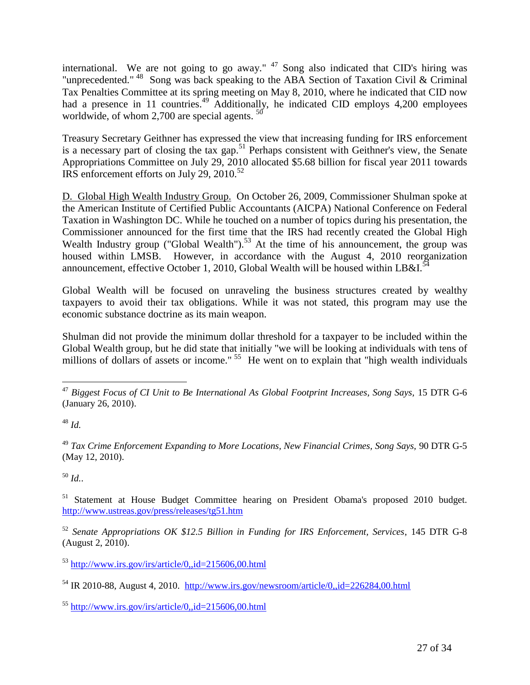international. We are not going to go away."  $47$  Song also indicated that CID's hiring was "unprecedented." <sup>[48](#page-26-1)</sup> Song was back speaking to the ABA Section of Taxation Civil & Criminal Tax Penalties Committee at its spring meeting on May 8, 2010, where he indicated that CID now had a presence in 11 countries.<sup>[49](#page-26-2)</sup> Additionally, he indicated CID employs 4,200 employees worldwide, of whom 2,700 are special agents.  $50$ 

Treasury Secretary Geithner has expressed the view that increasing funding for IRS enforcement isa necessary part of closing the tax gap.<sup>51</sup> Perhaps consistent with Geithner's view, the Senate Appropriations Committee on July 29, 2010 allocated \$5.68 billion for fiscal year 2011 towards IRS enforcement efforts on July 29, 2010.<sup>[52](#page-26-5)</sup>

D. Global High Wealth Industry Group. On October 26, 2009, Commissioner Shulman spoke at the American Institute of Certified Public Accountants (AICPA) National Conference on Federal Taxation in Washington DC. While he touched on a number of topics during his presentation, the Commissioner announced for the first time that the IRS had recently created the Global High Wealth Industry group ("Global Wealth").<sup>[53](#page-26-6)</sup> At the time of his announcement, the group was housed within LMSB. However, in accordance with the August 4, 2010 reorganization announcement, effective October 1, 2010, Global Wealth will be housed within LB&I.<sup>[54](#page-26-7)</sup>

Global Wealth will be focused on unraveling the business structures created by wealthy taxpayers to avoid their tax obligations. While it was not stated, this program may use the economic substance doctrine as its main weapon.

Shulman did not provide the minimum dollar threshold for a taxpayer to be included within the Global Wealth group, but he did state that initially "we will be looking at individuals with tens of millions of dollars of assets or income."<sup>[55](#page-26-8)</sup> He went on to explain that "high wealth individuals"

<span id="page-26-1"></span><sup>48</sup> *Id.*

<span id="page-26-2"></span><sup>49</sup> *Tax Crime Enforcement Expanding to More Locations, New Financial Crimes, Song Says,* 90 DTR G-5 (May 12, 2010).

<span id="page-26-3"></span><sup>50</sup> *Id.*.

<span id="page-26-4"></span><sup>51</sup> Statement at House Budget Committee hearing on President Obama's proposed 2010 budget. http://www.ustreas.gov/press/releases/tg51.htm

<span id="page-26-5"></span><sup>52</sup> *Senate Appropriations OK \$12.5 Billion in Funding for IRS Enforcement, Services*, 145 DTR G-8 (August 2, 2010).

<span id="page-26-0"></span><sup>47</sup> *Biggest Focus of CI Unit to Be International As Global Footprint Increases, Song Says,* 15 DTR G-6 (January 26, 2010).

<span id="page-26-6"></span> $^{53}$  http://www.irs.gov/irs/article/0,.id=215606,00.html

<span id="page-26-7"></span> $<sup>54</sup>$  IR 2010-88, August 4, 2010. http://www.irs.gov/newsroom/article/0,,id=226284,00.html</sup>

<span id="page-26-8"></span><sup>55</sup> http://www.irs.gov/irs/article/0,,id=215606,00.html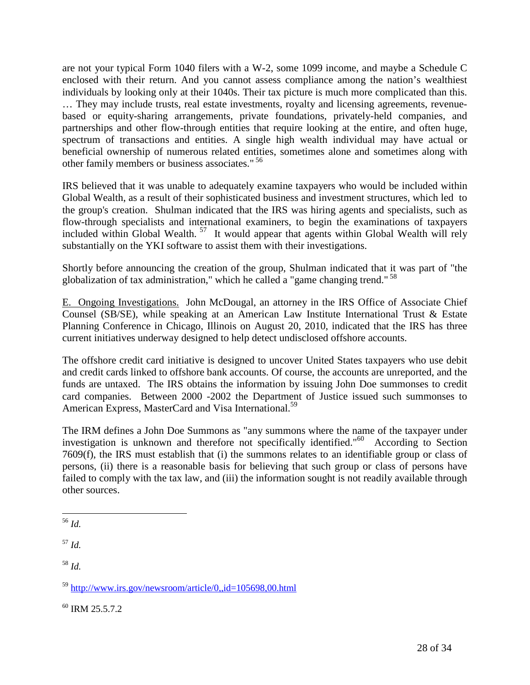are not your typical Form 1040 filers with a W-2, some 1099 income, and maybe a Schedule C enclosed with their return. And you cannot assess compliance among the nation's wealthiest individuals by looking only at their 1040s. Their tax picture is much more complicated than this. … They may include trusts, real estate investments, royalty and licensing agreements, revenuebased or equity-sharing arrangements, private foundations, privately-held companies, and partnerships and other flow-through entities that require looking at the entire, and often huge, spectrum of transactions and entities. A single high wealth individual may have actual or beneficial ownership of numerous related entities, sometimes alone and sometimes along with other family members or business associates."<sup>[56](#page-27-0)</sup>

IRS believed that it was unable to adequately examine taxpayers who would be included within Global Wealth, as a result of their sophisticated business and investment structures, which led to the group's creation. Shulman indicated that the IRS was hiring agents and specialists, such as flow-through specialists and international examiners, to begin the examinations of taxpayers included within Global Wealth. [57](#page-27-1) It would appear that agents within Global Wealth will rely substantially on the YKI software to assist them with their investigations.

Shortly before announcing the creation of the group, Shulman indicated that it was part of "the globalization of tax administration," which he called a "game changing trend." [58](#page-27-2)

E. Ongoing Investigations. John McDougal, an attorney in the IRS Office of Associate Chief Counsel (SB/SE), while speaking at an American Law Institute International Trust & Estate Planning Conference in Chicago, Illinois on August 20, 2010, indicated that the IRS has three current initiatives underway designed to help detect undisclosed offshore accounts.

The offshore credit card initiative is designed to uncover United States taxpayers who use debit and credit cards linked to offshore bank accounts. Of course, the accounts are unreported, and the funds are untaxed. The IRS obtains the information by issuing John Doe summonses to credit card companies. Between 2000 -2002 the Department of Justice issued such summonses to American Express, MasterCard and Visa International.<sup>[59](#page-27-3)</sup>

The IRM defines a John Doe Summons as "any summons where the name of the taxpayer under investigation is unknown and therefore not specifically identified."<sup>[60](#page-27-4)</sup> According to Section 7609(f), the IRS must establish that (i) the summons relates to an identifiable group or class of persons, (ii) there is a reasonable basis for believing that such group or class of persons have failed to comply with the tax law, and (iii) the information sought is not readily available through other sources.

<span id="page-27-2"></span><sup>58</sup> *Id.*

<span id="page-27-4"></span><sup>60</sup> IRM 25.5.7.2

<span id="page-27-0"></span><sup>56</sup> *Id.*

<span id="page-27-1"></span><sup>57</sup> *Id.*

<span id="page-27-3"></span><sup>59</sup> http://www.irs.gov/newsroom/article/0,,id=105698,00.html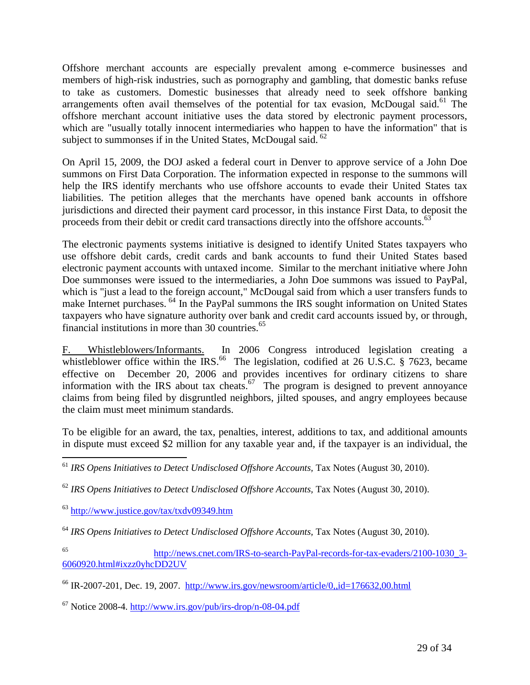Offshore merchant accounts are especially prevalent among e-commerce businesses and members of high-risk industries, such as pornography and gambling, that domestic banks refuse to take as customers. Domestic businesses that already need to seek offshore banking arrangementsoften avail themselves of the potential for tax evasion, McDougal said.<sup>61</sup> The offshore merchant account initiative uses the data stored by electronic payment processors, which are "usually totally innocent intermediaries who happen to have the information" that is subjectto summonses if in the United States, McDougal said. <sup>62</sup>

On April 15, 2009, the DOJ asked a federal court in Denver to approve service of a John Doe summons on First Data Corporation. The information expected in response to the summons will help the IRS identify merchants who use offshore accounts to evade their United States tax liabilities. The petition alleges that the merchants have opened bank accounts in offshore jurisdictions and directed their payment card processor, in this instance First Data, to deposit the proceeds from their debit or credit card transactions directly into the offshore accounts.<sup>[63](#page-28-2)</sup>

The electronic payments systems initiative is designed to identify United States taxpayers who use offshore debit cards, credit cards and bank accounts to fund their United States based electronic payment accounts with untaxed income. Similar to the merchant initiative where John Doe summonses were issued to the intermediaries, a John Doe summons was issued to PayPal, which is "just a lead to the foreign account," McDougal said from which a user transfers funds to make Internet purchases. [64](#page-28-3) In the PayPal summons the IRS sought information on United States taxpayers who have signature authority over bank and credit card accounts issued by, or through, financial institutions in more than 30 countries. $^{65}$  $^{65}$  $^{65}$ 

F. Whistleblowers/Informants. In 2006 Congress introduced legislation creating a whistlebloweroffice within the IRS.<sup>66</sup> The legislation, codified at 26 U.S.C. § 7623, became effective on December 20, 2006 and provides incentives for ordinary citizens to share information with the IRS about tax cheats.<sup>[67](#page-28-6)</sup> The program is designed to prevent annoyance claims from being filed by disgruntled neighbors, jilted spouses, and angry employees because the claim must meet minimum standards.

To be eligible for an award, the tax, penalties, interest, additions to tax, and additional amounts in dispute must exceed \$2 million for any taxable year and, if the taxpayer is an individual, the

<span id="page-28-1"></span><sup>62</sup> *IRS Opens Initiatives to Detect Undisclosed Offshore Accounts,* Tax Notes (August 30, 2010).

<span id="page-28-2"></span><sup>63</sup> http://www.justice.gov/tax/txdv09349.htm

<span id="page-28-3"></span><sup>64</sup> *IRS Opens Initiatives to Detect Undisclosed Offshore Accounts,* Tax Notes (August 30, 2010).

<span id="page-28-4"></span><sup>65</sup> http://news.cnet.com/IRS-to-search-PayPal-records-for-tax-evaders/2100-1030\_3- 6060920.html#ixzz0yhcDD2UV

<span id="page-28-5"></span> $^{66}$  IR-2007-201, Dec. 19, 2007. http://www.irs.gov/newsroom/article/0,,id=176632,00.html

<span id="page-28-6"></span> $67$  Notice 2008-4. http://www.irs.gov/pub/irs-drop/n-08-04.pdf

<span id="page-28-0"></span><sup>61</sup> *IRS Opens Initiatives to Detect Undisclosed Offshore Accounts,* Tax Notes (August 30, 2010).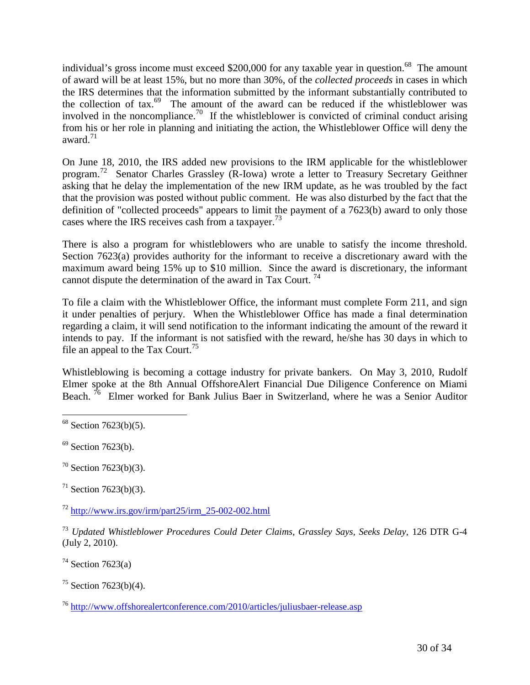individual's gross income must exceed \$200,000 for any taxable year in question.<sup>[68](#page-29-0)</sup> The amount of award will be at least 15%, but no more than 30%, of the *collected proceeds* in cases in which the IRS determines that the information submitted by the informant substantially contributed to thecollection of tax. $69$  The amount of the award can be reduced if the whistleblower was involved in the noncompliance.<sup>[70](#page-29-2)</sup> If the whistleblower is convicted of criminal conduct arising from his or her role in planning and initiating the action, the Whistleblower Office will deny the award.<sup>[71](#page-29-3)</sup>

On June 18, 2010, the IRS added new provisions to the IRM applicable for the whistleblower program.[72](#page-29-4) Senator Charles Grassley (R-Iowa) wrote a letter to Treasury Secretary Geithner asking that he delay the implementation of the new IRM update, as he was troubled by the fact that the provision was posted without public comment. He was also disturbed by the fact that the definition of "collected proceeds" appears to limit the payment of a 7623(b) award to only those cases where the IRS receives cash from a taxpayer.<sup>[73](#page-29-5)</sup>

There is also a program for whistleblowers who are unable to satisfy the income threshold. Section 7623(a) provides authority for the informant to receive a discretionary award with the maximum award being 15% up to \$10 million. Since the award is discretionary, the informant cannot dispute the determination of the award in Tax Court.<sup>[74](#page-29-6)</sup>

To file a claim with the Whistleblower Office, the informant must complete Form 211, and sign it under penalties of perjury. When the Whistleblower Office has made a final determination regarding a claim, it will send notification to the informant indicating the amount of the reward it intends to pay. If the informant is not satisfied with the reward, he/she has 30 days in which to file an appeal to the Tax Court.<sup>[75](#page-29-7)</sup>

Whistleblowing is becoming a cottage industry for private bankers. On May 3, 2010, Rudolf Elmer spoke at the 8th Annual OffshoreAlert Financial Due Diligence Conference on Miami Beach.<sup>[76](#page-29-8)</sup> Elmer worked for Bank Julius Baer in Switzerland, where he was a Senior Auditor

<span id="page-29-2"></span> $70$  Section 7623(b)(3).

<span id="page-29-3"></span> $71$  Section 7623(b)(3).

<span id="page-29-4"></span> $^{72}$  http://www.irs.gov/irm/part25/irm\_25-002-002.html

<span id="page-29-5"></span><sup>73</sup> *Updated Whistleblower Procedures Could Deter Claims, Grassley Says, Seeks Delay,* 126 DTR G-4 (July 2, 2010).

<span id="page-29-6"></span> $74$  Section 7623(a)

<span id="page-29-7"></span> $75$  Section 7623(b)(4).

<span id="page-29-8"></span><sup>76</sup> http://www.offshorealertconference.com/2010/articles/juliusbaer-release.asp

<span id="page-29-0"></span> $68$  Section 7623(b)(5).

<span id="page-29-1"></span> $69$  Section 7623(b).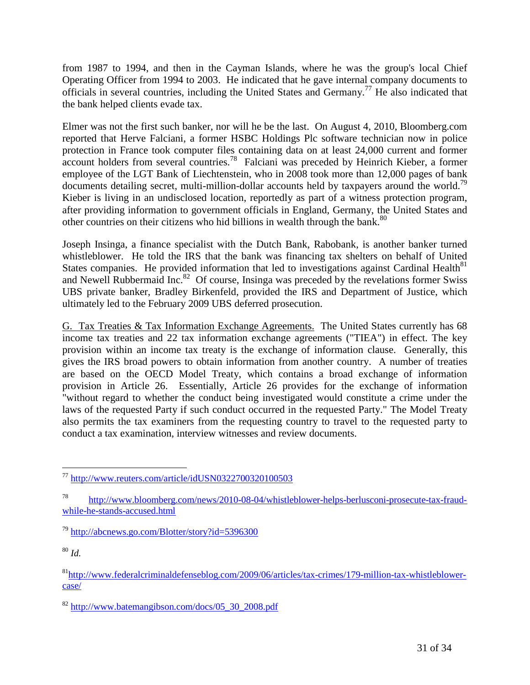from 1987 to 1994, and then in the Cayman Islands, where he was the group's local Chief Operating Officer from 1994 to 2003. He indicated that he gave internal company documents to officials in several countries, including the United States and Germany.[77](#page-30-0) He also indicated that the bank helped clients evade tax.

Elmer was not the first such banker, nor will he be the last. On August 4, 2010, Bloomberg.com reported that Herve Falciani, a former HSBC Holdings Plc software technician now in police protection in France took computer files containing data on at least 24,000 current and former account holders from several countries.[78](#page-30-1) Falciani was preceded by Heinrich Kieber, a former employee of the LGT Bank of Liechtenstein, who in 2008 took more than 12,000 pages of bank documents detailing secret, multi-million-dollar accounts held by taxpayers around the world.<sup>[79](#page-30-2)</sup> Kieber is living in an undisclosed location, reportedly as part of a witness protection program, after providing information to government officials in England, Germany, the United States and othercountries on their citizens who hid billions in wealth through the bank.<sup>80</sup>

Joseph Insinga, a finance specialist with the Dutch Bank, Rabobank, is another banker turned whistleblower. He told the IRS that the bank was financing tax shelters on behalf of United States companies. He provided information that led to investigations against Cardinal Health $^{81}$  $^{81}$  $^{81}$ andNewell Rubbermaid Inc.<sup>82</sup> Of course, Insinga was preceded by the revelations former Swiss UBS private banker, Bradley Birkenfeld, provided the IRS and Department of Justice, which ultimately led to the February 2009 UBS deferred prosecution.

G. Tax Treaties & Tax Information Exchange Agreements. The United States currently has 68 income tax treaties and 22 tax information exchange agreements ("TIEA") in effect. The key provision within an income tax treaty is the exchange of information clause. Generally, this gives the IRS broad powers to obtain information from another country. A number of treaties are based on the OECD Model Treaty, which contains a broad exchange of information provision in Article 26. Essentially, Article 26 provides for the exchange of information "without regard to whether the conduct being investigated would constitute a crime under the laws of the requested Party if such conduct occurred in the requested Party." The Model Treaty also permits the tax examiners from the requesting country to travel to the requested party to conduct a tax examination, interview witnesses and review documents.

<span id="page-30-3"></span><sup>80</sup> *Id.*

<span id="page-30-4"></span><sup>81</sup>http://www.federalcriminaldefenseblog.com/2009/06/articles/tax-crimes/179-million-tax-whistleblowercase/

<span id="page-30-5"></span> $82$  http://www.batemangibson.com/docs/05 30 2008.pdf

<span id="page-30-0"></span> $77$  http://www.reuters.com/article/idUSN0322700320100503

<span id="page-30-1"></span><sup>78</sup> http://www.bloomberg.com/news/2010-08-04/whistleblower-helps-berlusconi-prosecute-tax-fraudwhile-he-stands-accused.html

<span id="page-30-2"></span><sup>79</sup> http://abcnews.go.com/Blotter/story?id=5396300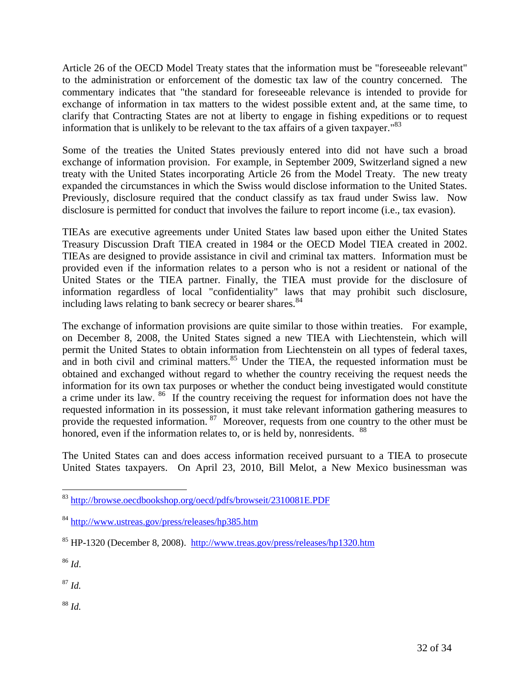Article 26 of the OECD Model Treaty states that the information must be "foreseeable relevant" to the administration or enforcement of the domestic tax law of the country concerned. The commentary indicates that "the standard for foreseeable relevance is intended to provide for exchange of information in tax matters to the widest possible extent and, at the same time, to clarify that Contracting States are not at liberty to engage in fishing expeditions or to request information that is unlikely to be relevant to the tax affairs of a given taxpayer."[83](#page-31-0)

Some of the treaties the United States previously entered into did not have such a broad exchange of information provision. For example, in September 2009, Switzerland signed a new treaty with the United States incorporating Article 26 from the Model Treaty. The new treaty expanded the circumstances in which the Swiss would disclose information to the United States. Previously, disclosure required that the conduct classify as tax fraud under Swiss law. Now disclosure is permitted for conduct that involves the failure to report income (i.e., tax evasion).

TIEAs are executive agreements under United States law based upon either the United States Treasury Discussion Draft TIEA created in 1984 or the OECD Model TIEA created in 2002. TIEAs are designed to provide assistance in civil and criminal tax matters. Information must be provided even if the information relates to a person who is not a resident or national of the United States or the TIEA partner. Finally, the TIEA must provide for the disclosure of information regardless of local "confidentiality" laws that may prohibit such disclosure, including laws relating to bank secrecy or bearer shares.<sup>[84](#page-31-1)</sup>

The exchange of information provisions are quite similar to those within treaties. For example, on December 8, 2008, the United States signed a new TIEA with Liechtenstein, which will permit the United States to obtain information from Liechtenstein on all types of federal taxes, and in both civil and criminal matters. $85$  Under the TIEA, the requested information must be obtained and exchanged without regard to whether the country receiving the request needs the information for its own tax purposes or whether the conduct being investigated would constitute acrime under its law. <sup>86</sup> If the country receiving the request for information does not have the requested information in its possession, it must take relevant information gathering measures to provide the requested information. <sup>[87](#page-31-4)</sup> Moreover, requests from one country to the other must be honored, even if the information relates to, or is held by, nonresidents. <sup>[88](#page-31-5)</sup>

The United States can and does access information received pursuant to a TIEA to prosecute United States taxpayers. On April 23, 2010, Bill Melot, a New Mexico businessman was

<span id="page-31-3"></span><sup>86</sup> *Id*.

<span id="page-31-4"></span><sup>87</sup> *Id.*

<span id="page-31-5"></span><sup>88</sup> *Id.*

<span id="page-31-0"></span><sup>83</sup> http://browse.oecdbookshop.org/oecd/pdfs/browseit/2310081E.PDF

<span id="page-31-1"></span><sup>84</sup> http://www.ustreas.gov/press/releases/hp385.htm

<span id="page-31-2"></span><sup>85</sup> HP-1320 (December 8, 2008). http://www.treas.gov/press/releases/hp1320.htm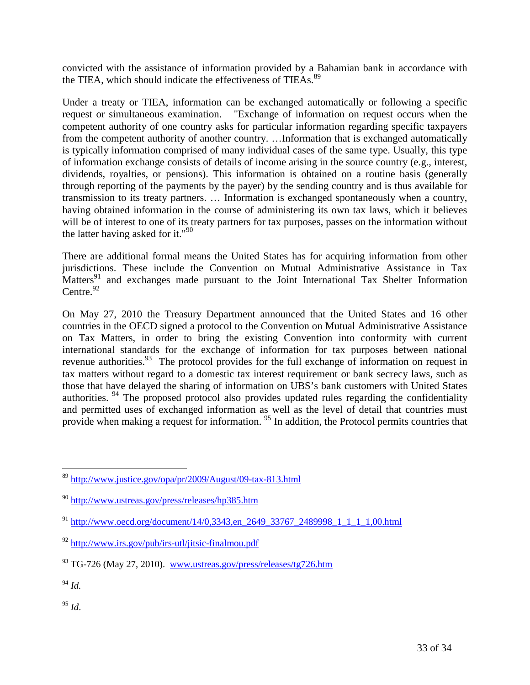convicted with the assistance of information provided by a Bahamian bank in accordance with the TIEA, which should indicate the effectiveness of TIEAs.<sup>[89](#page-32-0)</sup>

Under a treaty or TIEA, information can be exchanged automatically or following a specific request or simultaneous examination. "Exchange of information on request occurs when the competent authority of one country asks for particular information regarding specific taxpayers from the competent authority of another country. …Information that is exchanged automatically is typically information comprised of many individual cases of the same type. Usually, this type of information exchange consists of details of income arising in the source country (e.g., interest, dividends, royalties, or pensions). This information is obtained on a routine basis (generally through reporting of the payments by the payer) by the sending country and is thus available for transmission to its treaty partners. … Information is exchanged spontaneously when a country, having obtained information in the course of administering its own tax laws, which it believes will be of interest to one of its treaty partners for tax purposes, passes on the information without the latter having asked forit."<sup>90</sup>

There are additional formal means the United States has for acquiring information from other jurisdictions. These include the Convention on Mutual Administrative Assistance in Tax Matters<sup>[91](#page-32-2)</sup> and exchanges made pursuant to the Joint International Tax Shelter Information Centre. $92$ 

On May 27, 2010 the Treasury Department announced that the United States and 16 other countries in the OECD signed a protocol to the Convention on Mutual Administrative Assistance on Tax Matters, in order to bring the existing Convention into conformity with current international standards for the exchange of information for tax purposes between national revenue authorities.<sup>[93](#page-32-4)</sup> The protocol provides for the full exchange of information on request in tax matters without regard to a domestic tax interest requirement or bank secrecy laws, such as those that have delayed the sharing of information on UBS's bank customers with United States authorities. [94](#page-32-5) The proposed protocol also provides updated rules regarding the confidentiality and permitted uses of exchanged information as well as the level of detail that countries must provide when making a request for information. <sup>[95](#page-32-6)</sup> In addition, the Protocol permits countries that

<span id="page-32-5"></span><sup>94</sup> *Id.*

<span id="page-32-6"></span><sup>95</sup> *Id*.

<span id="page-32-0"></span><sup>89</sup> http://www.justice.gov/opa/pr/2009/August/09-tax-813.html

<span id="page-32-1"></span><sup>90</sup> http://www.ustreas.gov/press/releases/hp385.htm

<span id="page-32-2"></span><sup>91</sup> http://www.oecd.org/document/14/0,3343,en\_2649\_33767\_2489998\_1\_1\_1\_1,00.html

<span id="page-32-3"></span><sup>92</sup> http://www.irs.gov/pub/irs-utl/jitsic-finalmou.pdf

<span id="page-32-4"></span><sup>&</sup>lt;sup>93</sup> TG-726 (May 27, 2010). www.ustreas.gov/press/releases/tg726.htm